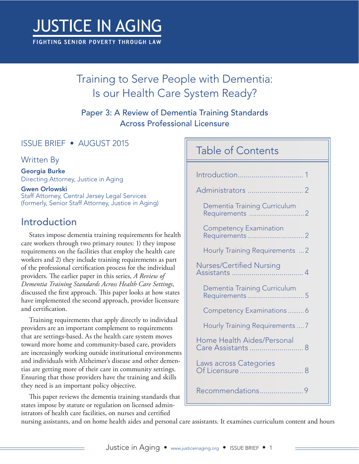# **JUSTICE IN AGING**

FIGHTING SENIOR POVERTY THROUGH LAW

# Training to Serve People with Dementia: Is our Health Care System Ready?

Paper 3: A Review of Dementia Training Standards Across Professional Licensure

### ISSUE BRIEF • AUGUST 2015

Written By

Georgia Burke Directing Attorney, Justice in Aging

Gwen Orlowski Staff Attorney, Central Jersey Legal Services (formerly, Senior Staff Attorney, Justice in Aging)

# Introduction

States impose dementia training requirements for health care workers through two primary routes: 1) they impose requirements on the facilities that employ the health care workers and 2) they include training requirements as part of the professional certification process for the individual providers. The earlier paper in this series, *A Review of Dementia Training Standards Across Health Care Settings*, discussed the first approach. This paper looks at how states have implemented the second approach, provider licensure and certification.

Training requirements that apply directly to individual providers are an important complement to requirements that are settings-based. As the health care system moves toward more home and community-based care, providers are increasingly working outside institutional environments and individuals with Alzheimer's disease and other dementias are getting more of their care in community settings. Ensuring that those providers have the training and skills they need is an important policy objective.

This paper reviews the dementia training standards that states impose by statute or regulation on licensed administrators of health care facilities, on nurses and certified

# Table of Contents

|                                                         | Dementia Training Curriculum                 |   |  |
|---------------------------------------------------------|----------------------------------------------|---|--|
|                                                         | <b>Competency Examination</b>                |   |  |
|                                                         | <b>Hourly Training Requirements  2</b>       |   |  |
| Nurses/Certified Nursing                                |                                              |   |  |
|                                                         | Dementia Training Curriculum<br>Requirements | 5 |  |
|                                                         | Competency Examinations6                     |   |  |
|                                                         | Hourly Training Requirements  7              |   |  |
| <b>Home Health Aides/Personal</b><br>Care Assistants  8 |                                              |   |  |
| Laws across Categories                                  |                                              |   |  |
|                                                         | Recommendations9                             |   |  |

nursing assistants, and on home health aides and personal care assistants. It examines curriculum content and hours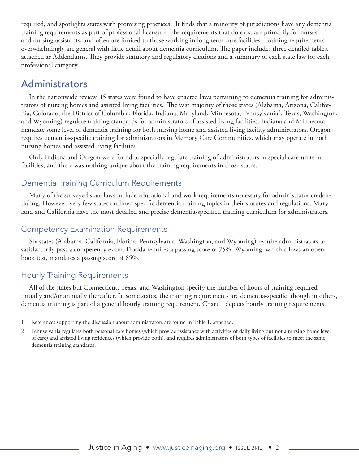<span id="page-1-0"></span>required, and spotlights states with promising practices. It finds that a minority of jurisdictions have any dementia training requirements as part of professional licensure. The requirements that do exist are primarily for nurses and nursing assistants, and often are limited to those working in long-term care facilities. Training requirements overwhelmingly are general with little detail about dementia curriculum. The paper includes three detailed tables, attached as Addendums. They provide statutory and regulatory citations and a summary of each state law for each professional category.

## Administrators

In the nationwide review, 15 states were found to have enacted laws pertaining to dementia training for administrators of nursing homes and assisted living facilities.<sup>1</sup> The vast majority of those states (Alabama, Arizona, California, Colorado, the District of Columbia, Florida, Indiana, Maryland, Minnesota, Pennsylvania<sup>2</sup>, Texas, Washington, and Wyoming) regulate training standards for administrators of assisted living facilities. Indiana and Minnesota mandate some level of dementia training for both nursing home and assisted living facility administrators. Oregon requires dementia-specific training for administrators in Memory Care Communities, which may operate in both nursing homes and assisted living facilities.

Only Indiana and Oregon were found to specially regulate training of administrators in special care units in facilities, and there was nothing unique about the training requirements in those states.

## Dementia Training Curriculum Requirements

Many of the surveyed state laws include educational and work requirements necessary for administrator credentialing. However, very few states outlined specific dementia training topics in their statutes and regulations. Maryland and California have the most detailed and precise dementia-specified training curriculum for administrators.

## Competency Examination Requirements

Six states (Alabama, California, Florida, Pennsylvania, Washington, and Wyoming) require administrators to satisfactorily pass a competency exam. Florida requires a passing score of 75%. Wyoming, which allows an openbook test, mandates a passing score of 85%.

## Hourly Training Requirements

All of the states but Connecticut, Texas, and Washington specify the number of hours of training required initially and/or annually thereafter. In some states, the training requirements are dementia-specific, though in others, dementia training is part of a general hourly training requirement. Chart 1 depicts hourly training requirements.

<sup>1</sup> References supporting the discussion about administrators are found in Table 1, attached.

<sup>2</sup> Pennsylvania regulates both personal care homes (which provide assistance with activities of daily living but not a nursing home level of care) and assisted living residences (which provide both), and requires administrators of both types of facilities to meet the same dementia training standards.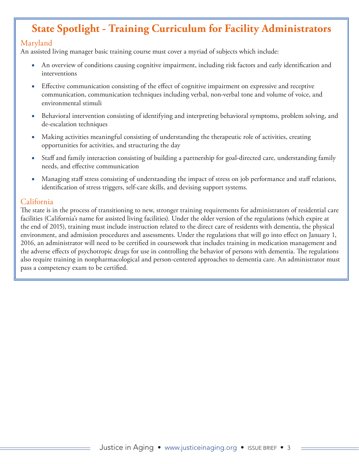# **State Spotlight - Training Curriculum for Facility Administrators**

#### Maryland

An assisted living manager basic training course must cover a myriad of subjects which include:

- An overview of conditions causing cognitive impairment, including risk factors and early identification and interventions
- Effective communication consisting of the effect of cognitive impairment on expressive and receptive communication, communication techniques including verbal, non-verbal tone and volume of voice, and environmental stimuli
- Behavioral intervention consisting of identifying and interpreting behavioral symptoms, problem solving, and de-escalation techniques
- Making activities meaningful consisting of understanding the therapeutic role of activities, creating opportunities for activities, and structuring the day
- Staff and family interaction consisting of building a partnership for goal-directed care, understanding family needs, and effective communication
- Managing staff stress consisting of understanding the impact of stress on job performance and staff relations, identification of stress triggers, self-care skills, and devising support systems.

#### California

The state is in the process of transitioning to new, stronger training requirements for administrators of residential care facilities (California's name for assisted living facilities). Under the older version of the regulations (which expire at the end of 2015), training must include instruction related to the direct care of residents with dementia, the physical environment, and admission procedures and assessments. Under the regulations that will go into effect on January 1, 2016, an administrator will need to be certified in coursework that includes training in medication management and the adverse effects of psychotropic drugs for use in controlling the behavior of persons with dementia. The regulations also require training in nonpharmacological and person-centered approaches to dementia care. An administrator must pass a competency exam to be certified.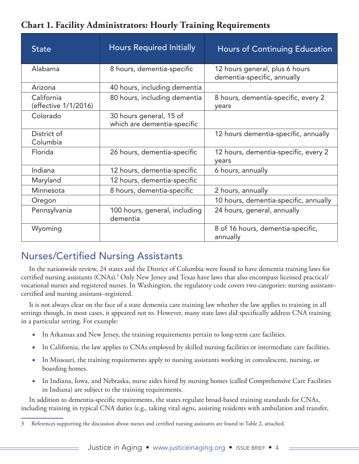<span id="page-3-0"></span>

| <b>Chart 1. Facility Administrators: Hourly Training Requirements</b> |  |  |  |
|-----------------------------------------------------------------------|--|--|--|
|-----------------------------------------------------------------------|--|--|--|

| <b>State</b>                       | <b>Hours Required Initially</b>                        | <b>Hours of Continuing Education</b>                          |
|------------------------------------|--------------------------------------------------------|---------------------------------------------------------------|
| Alabama                            | 8 hours, dementia-specific                             | 12 hours general, plus 6 hours<br>dementia-specific, annually |
| Arizona                            | 40 hours, including dementia                           |                                                               |
| California<br>(effective 1/1/2016) | 80 hours, including dementia                           | 8 hours, dementia-specific, every 2<br>years                  |
| Colorado                           | 30 hours general, 15 of<br>which are dementia-specific |                                                               |
| District of<br>Columbia            |                                                        | 12 hours dementia-specific, annually                          |
| Florida                            | 26 hours, dementia-specific                            | 12 hours, dementia-specific, every 2<br>years                 |
| Indiana                            | 12 hours, dementia-specific                            | 6 hours, annually                                             |
| Maryland                           | 12 hours, dementia-specific                            |                                                               |
| Minnesota                          | 8 hours, dementia-specific                             | 2 hours, annually                                             |
| Oregon                             |                                                        | 10 hours, dementia-specific, annually                         |
| Pennsylvania                       | 100 hours, general, including<br>dementia              | 24 hours, general, annually                                   |
| Wyoming                            |                                                        | 8 of 16 hours, dementia-specific,<br>annually                 |

# Nurses/Certified Nursing Assistants

In the nationwide review, 24 states and the District of Columbia were found to have dementia training laws for certified nursing assistants (CNAs).3 Only New Jersey and Texas have laws that also encompass licensed practical/ vocational nurses and registered nurses. In Washington, the regulatory code covers two categories: nursing assistant– certified and nursing assistant–registered.

It is not always clear on the face of a state dementia care training law whether the law applies to training in all settings though, in most cases, it appeared not to. However, many state laws did specifically address CNA training in a particular setting. For example:

- In Arkansas and New Jersey, the training requirements pertain to long-term care facilities.
- In California, the law applies to CNAs employed by skilled nursing facilities or intermediate care facilities.
- In Missouri, the training requirements apply to nursing assistants working in convalescent, nursing, or boarding homes.
- In Indiana, Iowa, and Nebraska, nurse aides hired by nursing homes (called Comprehensive Care Facilities in Indiana) are subject to the training requirements.

In addition to dementia-specific requirements, the states regulate broad-based training standards for CNAs, including training in typical CNA duties (e.g., taking vital signs, assisting residents with ambulation and transfer,

<sup>3</sup> References supporting the discussion about nurses and certified nursing assistants are found in Table 2, attached.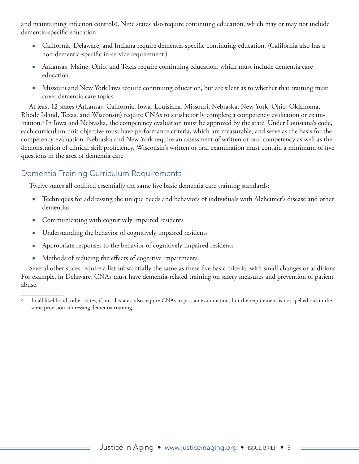<span id="page-4-0"></span>and maintaining infection controls). Nine states also require continuing education, which may or may not include dementia-specific education:

- California, Delaware, and Indiana require dementia-specific continuing education. (California also has a non-dementia-specific in-service requirement.)
- Arkansas, Maine, Ohio, and Texas require continuing education, which must include dementia care education.
- Missouri and New York laws require continuing education, but are silent as to whether that training must cover dementia care topics.

At least 12 states (Arkansas, California, Iowa, Louisiana, Missouri, Nebraska, New York, Ohio, Oklahoma, Rhode Island, Texas, and Wisconsin) require CNAs to satisfactorily complete a competency evaluation or examination.4 In Iowa and Nebraska, the competency evaluation must be approved by the state. Under Louisiana's code, each curriculum unit objective must have performance criteria, which are measurable, and serve as the basis for the competency evaluation. Nebraska and New York require an assessment of written or oral competency as well as the demonstration of clinical skill proficiency. Wisconsin's written or oral examination must contain a minimum of five questions in the area of dementia care.

## Dementia Training Curriculum Requirements

Twelve states all codified essentially the same five basic dementia care training standards:

- Techniques for addressing the unique needs and behaviors of individuals with Alzheimer's disease and other dementias
- Communicating with cognitively impaired residents
- Understanding the behavior of cognitively impaired residents
- Appropriate responses to the behavior of cognitively impaired residents
- Methods of reducing the effects of cognitive impairments.

Several other states require a list substantially the same as these five basic criteria, with small changes or additions. For example, in Delaware, CNAs must have dementia-related training on safety measures and prevention of patient abuse.

<sup>4</sup> In all likelihood, other states, if not all states, also require CNAs to pass an examination, but the requirement is not spelled out in the same provision addressing dementia training.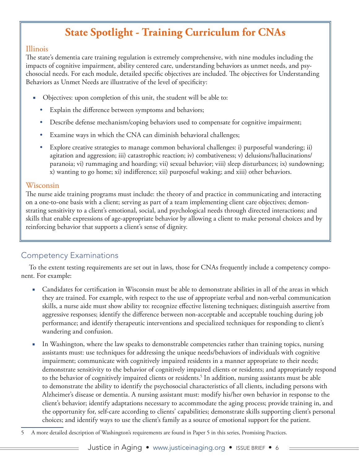# **State Spotlight - Training Curriculum for CNAs**

#### <span id="page-5-0"></span>Illinois

The state's dementia care training regulation is extremely comprehensive, with nine modules including the impacts of cognitive impairment, ability centered care, understanding behaviors as unmet needs, and psychosocial needs. For each module, detailed specific objectives are included. The objectives for Understanding Behaviors as Unmet Needs are illustrative of the level of specificity:

- Objectives: upon completion of this unit, the student will be able to:
	- Explain the difference between symptoms and behaviors;
	- Describe defense mechanism/coping behaviors used to compensate for cognitive impairment;
	- Examine ways in which the CNA can diminish behavioral challenges;
	- Explore creative strategies to manage common behavioral challenges: i) purposeful wandering; ii) agitation and aggression; iii) catastrophic reaction; iv) combativeness; v) delusions/hallucinations/ paranoia; vi) rummaging and hoarding; vii) sexual behavior; viii) sleep disturbances; ix) sundowning; x) wanting to go home; xi) indifference; xii) purposeful waking; and xiii) other behaviors.

#### Wisconsin

The nurse aide training programs must include: the theory of and practice in communicating and interacting on a one-to-one basis with a client; serving as part of a team implementing client care objectives; demonstrating sensitivity to a client's emotional, social, and psychological needs through directed interactions; and skills that enable expressions of age-appropriate behavior by allowing a client to make personal choices and by reinforcing behavior that supports a client's sense of dignity.

### Competency Examinations

To the extent testing requirements are set out in laws, those for CNAs frequently include a competency component. For example:

- Candidates for certification in Wisconsin must be able to demonstrate abilities in all of the areas in which they are trained. For example, with respect to the use of appropriate verbal and non-verbal communication skills, a nurse aide must show ability to: recognize effective listening techniques; distinguish assertive from aggressive responses; identify the difference between non-acceptable and acceptable touching during job performance; and identify therapeutic interventions and specialized techniques for responding to client's wandering and confusion.
- In Washington, where the law speaks to demonstrable competencies rather than training topics, nursing assistants must: use techniques for addressing the unique needs/behaviors of individuals with cognitive impairment; communicate with cognitively impaired residents in a manner appropriate to their needs; demonstrate sensitivity to the behavior of cognitively impaired clients or residents; and appropriately respond to the behavior of cognitively impaired clients or residents.<sup>5</sup> In addition, nursing assistants must be able to demonstrate the ability to identify the psychosocial characteristics of all clients, including persons with Alzheimer's disease or dementia. A nursing assistant must: modify his/her own behavior in response to the client's behavior; identify adaptations necessary to accommodate the aging process; provide training in, and the opportunity for, self-care according to clients' capabilities; demonstrate skills supporting client's personal choices; and identify ways to use the client's family as a source of emotional support for the patient.

<sup>5</sup> A more detailed description of Washington's requirements are found in Paper 5 in this series, Promising Practices.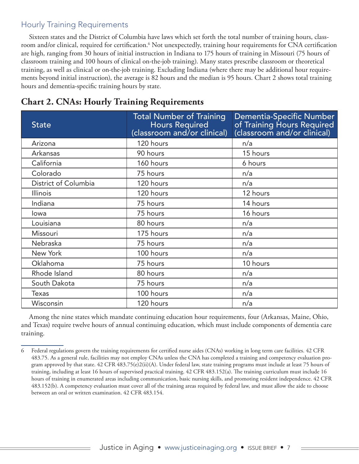#### <span id="page-6-0"></span>Hourly Training Requirements

Sixteen states and the District of Columbia have laws which set forth the total number of training hours, classroom and/or clinical, required for certification.<sup>6</sup> Not unexpectedly, training hour requirements for CNA certification are high, ranging from 30 hours of initial instruction in Indiana to 175 hours of training in Missouri (75 hours of classroom training and 100 hours of clinical on-the-job training). Many states prescribe classroom or theoretical training, as well as clinical or on-the-job training. Excluding Indiana (where there may be additional hour requirements beyond initial instruction), the average is 82 hours and the median is 95 hours. Chart 2 shows total training hours and dementia-specific training hours by state.

| <b>State</b>         | <b>Total Number of Training</b><br><b>Hours Required</b><br>(classroom and/or clinical) | Dementia-Specific Number<br>of Training Hours Required<br>(classroom and/or clinical) |
|----------------------|-----------------------------------------------------------------------------------------|---------------------------------------------------------------------------------------|
| Arizona              | 120 hours                                                                               | n/a                                                                                   |
| Arkansas             | 90 hours                                                                                | 15 hours                                                                              |
| California           | 160 hours                                                                               | 6 hours                                                                               |
| Colorado             | 75 hours                                                                                | n/a                                                                                   |
| District of Columbia | 120 hours                                                                               | n/a                                                                                   |
| <b>Illinois</b>      | 120 hours                                                                               | 12 hours                                                                              |
| Indiana              | 75 hours                                                                                | 14 hours                                                                              |
| lowa                 | 75 hours                                                                                | 16 hours                                                                              |
| Louisiana            | 80 hours                                                                                | n/a                                                                                   |
| Missouri             | 175 hours                                                                               | n/a                                                                                   |
| Nebraska             | 75 hours                                                                                | n/a                                                                                   |
| New York             | 100 hours                                                                               | n/a                                                                                   |
| Oklahoma             | 75 hours                                                                                | 10 hours                                                                              |
| Rhode Island         | 80 hours                                                                                | n/a                                                                                   |
| South Dakota         | 75 hours                                                                                | n/a                                                                                   |
| <b>Texas</b>         | 100 hours                                                                               | n/a                                                                                   |
| Wisconsin            | 120 hours                                                                               | n/a                                                                                   |

## **Chart 2. CNAs: Hourly Training Requirements**

Among the nine states which mandate continuing education hour requirements, four (Arkansas, Maine, Ohio, and Texas) require twelve hours of annual continuing education, which must include components of dementia care training.

<sup>6</sup> Federal regulations govern the training requirements for certified nurse aides (CNAs) working in long term care facilities. 42 CFR 483.75. As a general rule, facilities may not employ CNAs unless the CNA has completed a training and competency evaluation program approved by that state. 42 CFR 483.75(e)2(ii)(A). Under federal law, state training programs must include at least 75 hours of training, including at least 16 hours of supervised practical training. 42 CFR 483.152(a). The training curriculum must include 16 hours of training in enumerated areas including communication, basic nursing skills, and promoting resident independence. 42 CFR 483.152(b). A competency evaluation must cover all of the training areas required by federal law, and must allow the aide to choose between an oral or written examination. 42 CFR 483.154.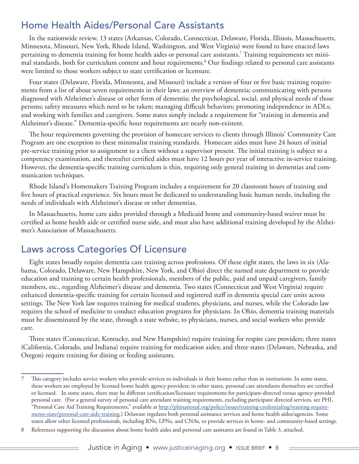# <span id="page-7-0"></span>Home Health Aides/Personal Care Assistants

In the nationwide review, 13 states (Arkansas, Colorado, Connecticut, Delaware, Florida, Illinois, Massachusetts, Minnesota, Missouri, New York, Rhode Island, Washington, and West Virginia) were found to have enacted laws pertaining to dementia training for home health aides or personal care assistants. $^7$  Training requirements set minimal standards, both for curriculum content and hour requirements.8 Our findings related to personal care assistants were limited to those workers subject to state certification or licensure.

Four states (Delaware, Florida, Minnesota, and Missouri) include a version of four or five basic training requirements from a list of about seven requirements in their laws: an overview of dementia; communicating with persons diagnosed with Alzheimer's disease or other form of dementia; the psychological, social, and physical needs of those persons; safety measures which need to be taken; managing difficult behaviors; promoting independence in ADLs; and working with families and caregivers. Some states simply include a requirement for "training in dementia and Alzheimer's disease." Dementia-specific hour requirements are nearly non-existent.

The hour requirements governing the provision of homecare services to clients through Illinois' Community Care Program are one exception to these minimalist training standards. Homecare aides must have 24 hours of initial pre-service training prior to assignment to a client without a supervisor present. The initial training is subject to a competency examination, and thereafter certified aides must have 12 hours per year of interactive in-service training. However, the dementia-specific training curriculum is thin, requiring only general training in dementias and communication techniques.

Rhode Island's Homemakers Training Program includes a requirement for 20 classroom hours of training and five hours of practical experience. Six hours must be dedicated to understanding basic human needs, including the needs of individuals with Alzheimer's disease or other dementias.

In Massachusetts, home care aides provided through a Medicaid home and community-based waiver must be certified as home health aide or certified nurse aide, and must also have additional training developed by the Alzheimer's Association of Massachusetts.

# Laws across Categories Of Licensure

Eight states broadly require dementia care training across professions. Of these eight states, the laws in six (Alabama, Colorado, Delaware, New Hampshire, New York, and Ohio) direct the named state department to provide education and training to certain health professionals, members of the public, paid and unpaid caregivers, family members, etc., regarding Alzheimer's disease and dementia. Two states (Connecticut and West Virginia) require enhanced dementia-specific training for certain licensed and registered staff in dementia special care units across settings. The New York law requires training for medical students, physicians, and nurses, while the Colorado law requires the school of medicine to conduct education programs for physicians. In Ohio, dementia training materials must be disseminated by the state, through a state website, to physicians, nurses, and social workers who provide care.

Three states (Connecticut, Kentucky, and New Hampshire) require training for respite care providers; three states (California, Colorado, and Indiana) require training for medication aides; and three states (Delaware, Nebraska, and Oregon) require training for dining or feeding assistants.

<sup>7</sup> This category includes service workers who provide services to individuals in their homes rather than in institutions. In some states, these workers are employed by licensed home health agency providers; in other states, personal care attendants themselves are certified or licensed. In some states, there may be different certification/licensure requirements for participant-directed versus agency-provided personal care. (For a general survey of personal care attendant training requirements, excluding participant directed services, see PHI, "Personal Care Aid Training Requirements," available at [http://phinational.org/policy/issues/training-credentialing/training-require](http://phinational.org/policy/issues/training-credentialing/training-requirements-state/personal-care-aide-training)[ments-state/personal-care-aide-training.](http://phinational.org/policy/issues/training-credentialing/training-requirements-state/personal-care-aide-training)) Delaware regulates both personal assistance services and home health aides/agencies. Some states allow other licensed professionals, including RNs, LPNs, and CNAs, to provide services in home- and community-based settings.

<sup>8</sup> References supporting the discussion about home health aides and personal care assistants are found in Table 3, attached.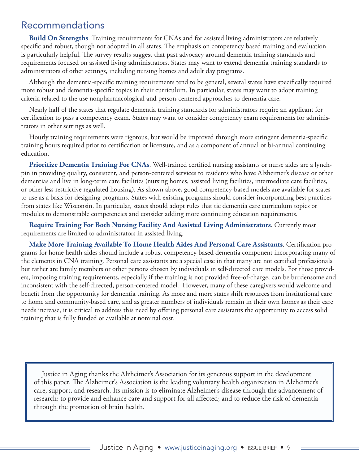## <span id="page-8-0"></span>Recommendations

**Build On Strengths**. Training requirements for CNAs and for assisted living administrators are relatively specific and robust, though not adopted in all states. The emphasis on competency based training and evaluation is particularly helpful. The survey results suggest that past advocacy around dementia training standards and requirements focused on assisted living administrators. States may want to extend dementia training standards to administrators of other settings, including nursing homes and adult day programs.

Although the dementia-specific training requirements tend to be general, several states have specifically required more robust and dementia-specific topics in their curriculum. In particular, states may want to adopt training criteria related to the use nonpharmacological and person-centered approaches to dementia care.

Nearly half of the states that regulate dementia training standards for administrators require an applicant for certification to pass a competency exam. States may want to consider competency exam requirements for administrators in other settings as well.

Hourly training requirements were rigorous, but would be improved through more stringent dementia-specific training hours required prior to certification or licensure, and as a component of annual or bi-annual continuing education.

**Prioritize Dementia Training For CNAs**. Well-trained certified nursing assistants or nurse aides are a lynchpin in providing quality, consistent, and person-centered services to residents who have Alzheimer's disease or other dementias and live in long-term care facilities (nursing homes, assisted living facilities, intermediate care facilities, or other less restrictive regulated housing). As shown above, good competency-based models are available for states to use as a basis for designing programs. States with existing programs should consider incorporating best practices from states like Wisconsin. In particular, states should adopt rules that tie dementia care curriculum topics or modules to demonstrable competencies and consider adding more continuing education requirements.

**Require Training For Both Nursing Facility And Assisted Living Administrators**. Currently most requirements are limited to administrators in assisted living.

**Make More Training Available To Home Health Aides And Personal Care Assistants**. Certification programs for home health aides should include a robust competency-based dementia component incorporating many of the elements in CNA training. Personal care assistants are a special case in that many are not certified professionals but rather are family members or other persons chosen by individuals in self-directed care models. For those providers, imposing training requirements, especially if the training is not provided free-of-charge, can be burdensome and inconsistent with the self-directed, person-centered model. However, many of these caregivers would welcome and benefit from the opportunity for dementia training. As more and more states shift resources from institutional care to home and community-based care, and as greater numbers of individuals remain in their own homes as their care needs increase, it is critical to address this need by offering personal care assistants the opportunity to access solid training that is fully funded or available at nominal cost.

Justice in Aging thanks the Alzheimer's Association for its generous support in the development of this paper. The Alzheimer's Association is the leading voluntary health organization in Alzheimer's care, support, and research. Its mission is to eliminate Alzheimer's disease through the advancement of research; to provide and enhance care and support for all affected; and to reduce the risk of dementia through the promotion of brain health.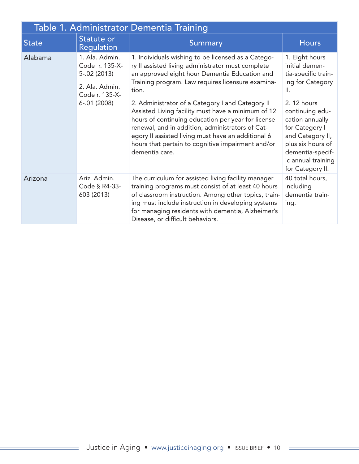| Table 1. Administrator Dementia Training |                                                                                         |                                                                                                                                                                                                                                                                                                                                               |                                                                                                                                                                            |  |
|------------------------------------------|-----------------------------------------------------------------------------------------|-----------------------------------------------------------------------------------------------------------------------------------------------------------------------------------------------------------------------------------------------------------------------------------------------------------------------------------------------|----------------------------------------------------------------------------------------------------------------------------------------------------------------------------|--|
| <b>State</b>                             | Statute or<br>Regulation                                                                | Summary                                                                                                                                                                                                                                                                                                                                       | <b>Hours</b>                                                                                                                                                               |  |
| Alabama                                  | 1. Ala. Admin.<br>Code r. 135-X-<br>$5 - .02(2013)$<br>2. Ala. Admin.<br>Code r. 135-X- | 1. Individuals wishing to be licensed as a Catego-<br>ry II assisted living administrator must complete<br>an approved eight hour Dementia Education and<br>Training program. Law requires licensure examina-<br>tion.                                                                                                                        | 1. Eight hours<br>initial demen-<br>tia-specific train-<br>ing for Category<br>$\mathsf{II}.$                                                                              |  |
|                                          | $6 - .01(2008)$                                                                         | 2. Administrator of a Category I and Category II<br>Assisted Living facility must have a minimum of 12<br>hours of continuing education per year for license<br>renewal, and in addition, administrators of Cat-<br>egory II assisted living must have an additional 6<br>hours that pertain to cognitive impairment and/or<br>dementia care. | 2. 12 hours<br>continuing edu-<br>cation annually<br>for Category I<br>and Category II,<br>plus six hours of<br>dementia-specif-<br>ic annual training<br>for Category II. |  |
| Arizona                                  | Ariz. Admin.<br>Code § R4-33-<br>603 (2013)                                             | The curriculum for assisted living facility manager<br>training programs must consist of at least 40 hours<br>of classroom instruction. Among other topics, train-<br>ing must include instruction in developing systems<br>for managing residents with dementia, Alzheimer's<br>Disease, or difficult behaviors.                             | 40 total hours,<br>including<br>dementia train-<br>ing.                                                                                                                    |  |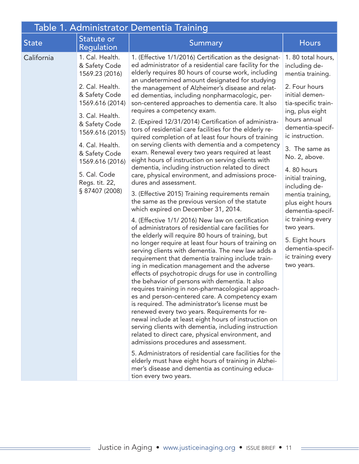| Table 1. Administrator Dementia Training |                                                                                                                                                                                                                                                                             |                                                                                                                                                                                                                                                                                                                                                                                                                                                                                                                                                                                                                                                                                                                                                                                                                                                                                                                                                                                                                                                                                                                                                                                                                                                                                                                                                                                                                                                                                                                                                                                                                                                                                                                                                                                                                                                                                                                                                                                                                                                                                                                                                                         |                                                                                                                                                                                                                                                                                                                                                                                                                                                           |
|------------------------------------------|-----------------------------------------------------------------------------------------------------------------------------------------------------------------------------------------------------------------------------------------------------------------------------|-------------------------------------------------------------------------------------------------------------------------------------------------------------------------------------------------------------------------------------------------------------------------------------------------------------------------------------------------------------------------------------------------------------------------------------------------------------------------------------------------------------------------------------------------------------------------------------------------------------------------------------------------------------------------------------------------------------------------------------------------------------------------------------------------------------------------------------------------------------------------------------------------------------------------------------------------------------------------------------------------------------------------------------------------------------------------------------------------------------------------------------------------------------------------------------------------------------------------------------------------------------------------------------------------------------------------------------------------------------------------------------------------------------------------------------------------------------------------------------------------------------------------------------------------------------------------------------------------------------------------------------------------------------------------------------------------------------------------------------------------------------------------------------------------------------------------------------------------------------------------------------------------------------------------------------------------------------------------------------------------------------------------------------------------------------------------------------------------------------------------------------------------------------------------|-----------------------------------------------------------------------------------------------------------------------------------------------------------------------------------------------------------------------------------------------------------------------------------------------------------------------------------------------------------------------------------------------------------------------------------------------------------|
| <b>State</b>                             | Statute or<br><b>Regulation</b>                                                                                                                                                                                                                                             | Summary                                                                                                                                                                                                                                                                                                                                                                                                                                                                                                                                                                                                                                                                                                                                                                                                                                                                                                                                                                                                                                                                                                                                                                                                                                                                                                                                                                                                                                                                                                                                                                                                                                                                                                                                                                                                                                                                                                                                                                                                                                                                                                                                                                 | <b>Hours</b>                                                                                                                                                                                                                                                                                                                                                                                                                                              |
| California                               | 1. Cal. Health.<br>& Safety Code<br>1569.23 (2016)<br>2. Cal. Health.<br>& Safety Code<br>1569.616 (2014)<br>3. Cal. Health.<br>& Safety Code<br>1569.616 (2015)<br>4. Cal. Health.<br>& Safety Code<br>1569.616 (2016)<br>5. Cal. Code<br>Regs. tit. 22,<br>§ 87407 (2008) | 1. (Effective 1/1/2016) Certification as the designat-<br>ed administrator of a residential care facility for the<br>elderly requires 80 hours of course work, including<br>an undetermined amount designated for studying<br>the management of Alzheimer's disease and relat-<br>ed dementias, including nonpharmacologic, per-<br>son-centered approaches to dementia care. It also<br>requires a competency exam.<br>2. (Expired 12/31/2014) Certification of administra-<br>tors of residential care facilities for the elderly re-<br>quired completion of at least four hours of training<br>on serving clients with dementia and a competency<br>exam. Renewal every two years required at least<br>eight hours of instruction on serving clients with<br>dementia, including instruction related to direct<br>care, physical environment, and admissions proce-<br>dures and assessment.<br>3. (Effective 2015) Training requirements remain<br>the same as the previous version of the statute<br>which expired on December 31, 2014.<br>4. (Effective 1/1/2016) New law on certification<br>of administrators of residential care facilities for<br>the elderly will require 80 hours of training, but<br>no longer require at least four hours of training on<br>serving clients with dementia. The new law adds a<br>requirement that dementia training include train-<br>ing in medication management and the adverse<br>effects of psychotropic drugs for use in controlling<br>the behavior of persons with dementia. It also<br>requires training in non-pharmacological approach-<br>es and person-centered care. A competency exam<br>is required. The administrator's license must be<br>renewed every two years. Requirements for re-<br>newal include at least eight hours of instruction on<br>serving clients with dementia, including instruction<br>related to direct care, physical environment, and<br>admissions procedures and assessment.<br>5. Administrators of residential care facilities for the<br>elderly must have eight hours of training in Alzhei-<br>mer's disease and dementia as continuing educa-<br>tion every two years. | 1.80 total hours,<br>including de-<br>mentia training.<br>2. Four hours<br>initial demen-<br>tia-specific train-<br>ing, plus eight<br>hours annual<br>dementia-specif-<br>ic instruction.<br>3. The same as<br>No. 2, above.<br>4.80 hours<br>initial training,<br>including de-<br>mentia training,<br>plus eight hours<br>dementia-specif-<br>ic training every<br>two years.<br>5. Eight hours<br>dementia-specif-<br>ic training every<br>two years. |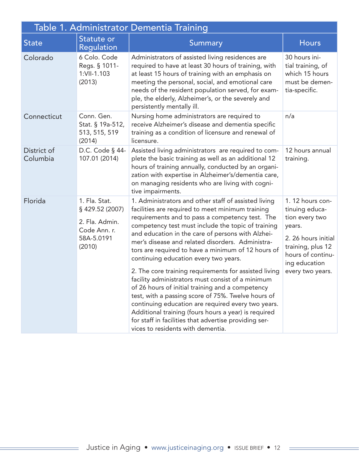| Table 1. Administrator Dementia Training |                                                                                            |                                                                                                                                                                                                                                                                                                                                                                                                                                                                                                                                                                                                                                                                                                                                                                                                                                                               |                                                                                                                                                                      |
|------------------------------------------|--------------------------------------------------------------------------------------------|---------------------------------------------------------------------------------------------------------------------------------------------------------------------------------------------------------------------------------------------------------------------------------------------------------------------------------------------------------------------------------------------------------------------------------------------------------------------------------------------------------------------------------------------------------------------------------------------------------------------------------------------------------------------------------------------------------------------------------------------------------------------------------------------------------------------------------------------------------------|----------------------------------------------------------------------------------------------------------------------------------------------------------------------|
| <b>State</b>                             | Statute or<br><b>Regulation</b>                                                            | <b>Summary</b>                                                                                                                                                                                                                                                                                                                                                                                                                                                                                                                                                                                                                                                                                                                                                                                                                                                | <b>Hours</b>                                                                                                                                                         |
| Colorado                                 | 6 Colo. Code<br>Regs. § 1011-<br>1:VII-1.103<br>(2013)                                     | Administrators of assisted living residences are<br>required to have at least 30 hours of training, with<br>at least 15 hours of training with an emphasis on<br>meeting the personal, social, and emotional care<br>needs of the resident population served, for exam-<br>ple, the elderly, Alzheimer's, or the severely and<br>persistently mentally ill.                                                                                                                                                                                                                                                                                                                                                                                                                                                                                                   | 30 hours ini-<br>tial training, of<br>which 15 hours<br>must be demen-<br>tia-specific.                                                                              |
| Connecticut                              | Conn. Gen.<br>Stat. § 19a-512,<br>513, 515, 519<br>(2014)                                  | Nursing home administrators are required to<br>receive Alzheimer's disease and dementia specific<br>training as a condition of licensure and renewal of<br>licensure.                                                                                                                                                                                                                                                                                                                                                                                                                                                                                                                                                                                                                                                                                         | n/a                                                                                                                                                                  |
| District of<br>Columbia                  | D.C. Code § 44-<br>107.01 (2014)                                                           | Assisted living administrators are required to com-<br>plete the basic training as well as an additional 12<br>hours of training annually, conducted by an organi-<br>zation with expertise in Alzheimer's/dementia care,<br>on managing residents who are living with cogni-<br>tive impairments.                                                                                                                                                                                                                                                                                                                                                                                                                                                                                                                                                            | 12 hours annual<br>training.                                                                                                                                         |
| Florida                                  | 1. Fla. Stat.<br>§ 429.52 (2007)<br>2. Fla. Admin.<br>Code Ann. r.<br>58A-5.0191<br>(2010) | 1. Administrators and other staff of assisted living<br>facilities are required to meet minimum training<br>requirements and to pass a competency test. The<br>competency test must include the topic of training<br>and education in the care of persons with Alzhei-<br>mer's disease and related disorders. Administra-<br>tors are required to have a minimum of 12 hours of<br>continuing education every two years.<br>2. The core training requirements for assisted living<br>facility administrators must consist of a minimum<br>of 26 hours of initial training and a competency<br>test, with a passing score of 75%. Twelve hours of<br>continuing education are required every two years.<br>Additional training (fours hours a year) is required<br>for staff in facilities that advertise providing ser-<br>vices to residents with dementia. | 1. 12 hours con-<br>tinuing educa-<br>tion every two<br>years.<br>2. 26 hours initial<br>training, plus 12<br>hours of continu-<br>ing education<br>every two years. |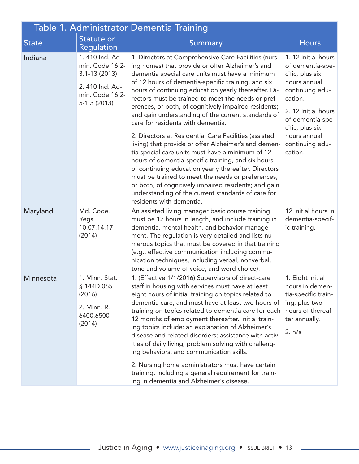| Table 1. Administrator Dementia Training |                                                                                                             |                                                                                                                                                                                                                                                                                                                                                                                                                                                                                                                                                                                                                                                                                                                                                                                                                                                                                                                                                                      |                                                                                                                                                                                                                      |  |
|------------------------------------------|-------------------------------------------------------------------------------------------------------------|----------------------------------------------------------------------------------------------------------------------------------------------------------------------------------------------------------------------------------------------------------------------------------------------------------------------------------------------------------------------------------------------------------------------------------------------------------------------------------------------------------------------------------------------------------------------------------------------------------------------------------------------------------------------------------------------------------------------------------------------------------------------------------------------------------------------------------------------------------------------------------------------------------------------------------------------------------------------|----------------------------------------------------------------------------------------------------------------------------------------------------------------------------------------------------------------------|--|
| <b>State</b>                             | Statute or<br><b>Regulation</b>                                                                             | <b>Summary</b>                                                                                                                                                                                                                                                                                                                                                                                                                                                                                                                                                                                                                                                                                                                                                                                                                                                                                                                                                       | <b>Hours</b>                                                                                                                                                                                                         |  |
| Indiana                                  | 1.410 Ind. Ad-<br>min. Code 16.2-<br>$3.1 - 13(2013)$<br>2.410 Ind. Ad-<br>min. Code 16.2-<br>$5-1.3(2013)$ | 1. Directors at Comprehensive Care Facilities (nurs-<br>ing homes) that provide or offer Alzheimer's and<br>dementia special care units must have a minimum<br>of 12 hours of dementia-specific training, and six<br>hours of continuing education yearly thereafter. Di-<br>rectors must be trained to meet the needs or pref-<br>erences, or both, of cognitively impaired residents;<br>and gain understanding of the current standards of<br>care for residents with dementia.<br>2. Directors at Residential Care Facilities (assisted<br>living) that provide or offer Alzheimer's and demen-<br>tia special care units must have a minimum of 12<br>hours of dementia-specific training, and six hours<br>of continuing education yearly thereafter. Directors<br>must be trained to meet the needs or preferences,<br>or both, of cognitively impaired residents; and gain<br>understanding of the current standards of care for<br>residents with dementia. | 1. 12 initial hours<br>of dementia-spe-<br>cific, plus six<br>hours annual<br>continuing edu-<br>cation.<br>2. 12 initial hours<br>of dementia-spe-<br>cific, plus six<br>hours annual<br>continuing edu-<br>cation. |  |
| Maryland                                 | Md. Code.<br>Regs.<br>10.07.14.17<br>(2014)                                                                 | An assisted living manager basic course training<br>must be 12 hours in length, and include training in<br>dementia, mental health, and behavior manage-<br>ment. The regulation is very detailed and lists nu-<br>merous topics that must be covered in that training<br>(e.g., effective communication including commu-<br>nication techniques, including verbal, nonverbal,<br>tone and volume of voice, and word choice).                                                                                                                                                                                                                                                                                                                                                                                                                                                                                                                                        | 12 initial hours in<br>dementia-specif-<br>ic training.                                                                                                                                                              |  |
| Minnesota                                | 1. Minn. Stat.<br>§ 144D.065<br>(2016)<br>2. Minn. R.<br>6400.6500<br>(2014)                                | 1. (Effective 1/1/2016) Supervisors of direct-care<br>staff in housing with services must have at least<br>eight hours of initial training on topics related to<br>dementia care, and must have at least two hours of<br>training on topics related to dementia care for each<br>12 months of employment thereafter. Initial train-<br>ing topics include: an explanation of Alzheimer's<br>disease and related disorders; assistance with activ-<br>ities of daily living; problem solving with challeng-<br>ing behaviors; and communication skills.<br>2. Nursing home administrators must have certain<br>training, including a general requirement for train-<br>ing in dementia and Alzheimer's disease.                                                                                                                                                                                                                                                       | 1. Eight initial<br>hours in demen-<br>tia-specific train-<br>ing, plus two<br>hours of thereaf-<br>ter annually.<br>2. n/a                                                                                          |  |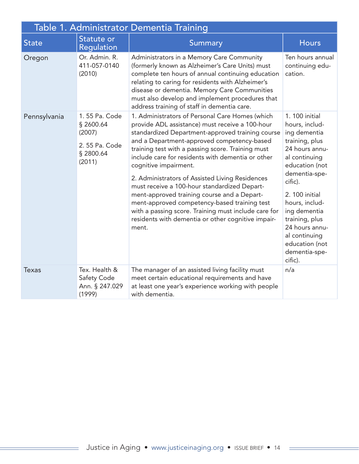| Table 1. Administrator Dementia Training |                                                                              |                                                                                                                                                                                                                                                                                                                                                                                                                                                                                                                                                                                                                                                                  |                                                                                                                                                                                                                                             |
|------------------------------------------|------------------------------------------------------------------------------|------------------------------------------------------------------------------------------------------------------------------------------------------------------------------------------------------------------------------------------------------------------------------------------------------------------------------------------------------------------------------------------------------------------------------------------------------------------------------------------------------------------------------------------------------------------------------------------------------------------------------------------------------------------|---------------------------------------------------------------------------------------------------------------------------------------------------------------------------------------------------------------------------------------------|
| <b>State</b>                             | Statute or<br><b>Regulation</b>                                              | <b>Summary</b>                                                                                                                                                                                                                                                                                                                                                                                                                                                                                                                                                                                                                                                   | <b>Hours</b>                                                                                                                                                                                                                                |
| Oregon                                   | Or. Admin. R.<br>411-057-0140<br>(2010)                                      | Administrators in a Memory Care Community<br>(formerly known as Alzheimer's Care Units) must<br>complete ten hours of annual continuing education<br>relating to caring for residents with Alzheimer's<br>disease or dementia. Memory Care Communities<br>must also develop and implement procedures that<br>address training of staff in dementia care.                                                                                                                                                                                                                                                                                                         | Ten hours annual<br>continuing edu-<br>cation.                                                                                                                                                                                              |
| Pennsylvania                             | 1.55 Pa. Code<br>§ 2600.64<br>(2007)<br>2.55 Pa. Code<br>§ 2800.64<br>(2011) | 1. Administrators of Personal Care Homes (which<br>provide ADL assistance) must receive a 100-hour<br>standardized Department-approved training course<br>and a Department-approved competency-based<br>training test with a passing score. Training must<br>include care for residents with dementia or other<br>cognitive impairment.<br>2. Administrators of Assisted Living Residences<br>must receive a 100-hour standardized Depart-<br>ment-approved training course and a Depart-<br>ment-approved competency-based training test<br>with a passing score. Training must include care for<br>residents with dementia or other cognitive impair-<br>ment. | 1. 100 initial<br>hours, includ-<br>ing dementia<br>training, plus<br>24 hours annu-<br>al continuing<br>education (not<br>dementia-spe-<br>cific).<br>2. 100 initial<br>hours, includ-<br>ing dementia<br>training, plus<br>24 hours annu- |
|                                          |                                                                              |                                                                                                                                                                                                                                                                                                                                                                                                                                                                                                                                                                                                                                                                  | al continuing<br>education (not<br>dementia-spe-<br>cific).                                                                                                                                                                                 |
| <b>Texas</b>                             | Tex. Health &<br>Safety Code<br>Ann. § 247.029<br>(1999)                     | The manager of an assisted living facility must<br>meet certain educational requirements and have<br>at least one year's experience working with people<br>with dementia.                                                                                                                                                                                                                                                                                                                                                                                                                                                                                        | n/a                                                                                                                                                                                                                                         |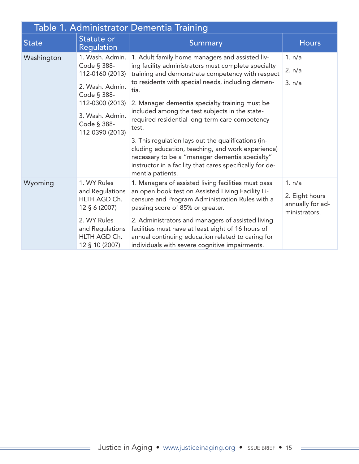| Table 1. Administrator Dementia Training |                                                                                                                                                             |                                                                                                                                                                                                                                                                                                                                                                                                                                                                                                                                                                                                                  |                                                               |  |
|------------------------------------------|-------------------------------------------------------------------------------------------------------------------------------------------------------------|------------------------------------------------------------------------------------------------------------------------------------------------------------------------------------------------------------------------------------------------------------------------------------------------------------------------------------------------------------------------------------------------------------------------------------------------------------------------------------------------------------------------------------------------------------------------------------------------------------------|---------------------------------------------------------------|--|
| <b>State</b>                             | Statute or<br>Regulation                                                                                                                                    | Summary                                                                                                                                                                                                                                                                                                                                                                                                                                                                                                                                                                                                          | <b>Hours</b>                                                  |  |
| Washington                               | 1. Wash. Admin.<br>Code § 388-<br>112-0160 (2013)<br>2. Wash. Admin.<br>Code § 388-<br>112-0300 (2013)<br>3. Wash. Admin.<br>Code § 388-<br>112-0390 (2013) | 1. Adult family home managers and assisted liv-<br>ing facility administrators must complete specialty<br>training and demonstrate competency with respect<br>to residents with special needs, including demen-<br>tia.<br>2. Manager dementia specialty training must be<br>included among the test subjects in the state-<br>required residential long-term care competency<br>test.<br>3. This regulation lays out the qualifications (in-<br>cluding education, teaching, and work experience)<br>necessary to be a "manager dementia specialty"<br>instructor in a facility that cares specifically for de- | 1. n/a<br>2. n/a<br>3. n/a                                    |  |
| Wyoming                                  | 1. WY Rules<br>and Regulations<br>HLTH AGD Ch.<br>12 § 6 (2007)<br>2. WY Rules<br>and Regulations<br>HLTH AGD Ch.<br>12 § 10 (2007)                         | mentia patients.<br>1. Managers of assisted living facilities must pass<br>an open book test on Assisted Living Facility Li-<br>censure and Program Administration Rules with a<br>passing score of 85% or greater.<br>2. Administrators and managers of assisted living<br>facilities must have at least eight of 16 hours of<br>annual continuing education related to caring for<br>individuals with severe cognitive impairments.                                                                                                                                                                            | 1. n/a<br>2. Eight hours<br>annually for ad-<br>ministrators. |  |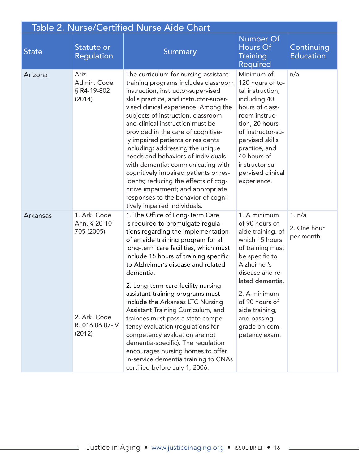| <b>Table 2. Nurse/Certified Nurse Aide Chart</b> |                                                                                          |                                                                                                                                                                                                                                                                                                                                                                                                                                                                                                                                                                                                                                                                                                            |                                                                                                                                                                                                                                                                       |                                     |
|--------------------------------------------------|------------------------------------------------------------------------------------------|------------------------------------------------------------------------------------------------------------------------------------------------------------------------------------------------------------------------------------------------------------------------------------------------------------------------------------------------------------------------------------------------------------------------------------------------------------------------------------------------------------------------------------------------------------------------------------------------------------------------------------------------------------------------------------------------------------|-----------------------------------------------------------------------------------------------------------------------------------------------------------------------------------------------------------------------------------------------------------------------|-------------------------------------|
| <b>State</b>                                     | Statute or<br><b>Regulation</b>                                                          | <b>Summary</b>                                                                                                                                                                                                                                                                                                                                                                                                                                                                                                                                                                                                                                                                                             | <b>Number Of</b><br>Hours Of<br><b>Training</b><br><b>Required</b>                                                                                                                                                                                                    | Continuing<br><b>Education</b>      |
| Arizona                                          | Ariz.<br>Admin. Code<br>§ R4-19-802<br>(2014)                                            | The curriculum for nursing assistant<br>training programs includes classroom<br>instruction, instructor-supervised<br>skills practice, and instructor-super-<br>vised clinical experience. Among the<br>subjects of instruction, classroom<br>and clinical instruction must be<br>provided in the care of cognitive-<br>ly impaired patients or residents<br>including: addressing the unique<br>needs and behaviors of individuals<br>with dementia; communicating with<br>cognitively impaired patients or res-<br>idents; reducing the effects of cog-<br>nitive impairment; and appropriate<br>responses to the behavior of cogni-<br>tively impaired individuals.                                     | Minimum of<br>120 hours of to-<br>tal instruction,<br>including 40<br>hours of class-<br>room instruc-<br>tion, 20 hours<br>of instructor-su-<br>pervised skills<br>practice, and<br>40 hours of<br>instructor-su-<br>pervised clinical<br>experience.                | n/a                                 |
| Arkansas                                         | 1. Ark. Code<br>Ann. § 20-10-<br>705 (2005)<br>2. Ark. Code<br>R. 016.06.07-IV<br>(2012) | 1. The Office of Long-Term Care<br>is required to promulgate regula-<br>tions regarding the implementation<br>of an aide training program for all<br>long-term care facilities, which must<br>include 15 hours of training specific<br>to Alzheimer's disease and related<br>dementia.<br>2. Long-term care facility nursing<br>assistant training programs must<br>include the Arkansas LTC Nursing<br>Assistant Training Curriculum, and<br>trainees must pass a state compe-<br>tency evaluation (regulations for<br>competency evaluation are not<br>dementia-specific). The regulation<br>encourages nursing homes to offer<br>in-service dementia training to CNAs<br>certified before July 1, 2006. | 1. A minimum<br>of 90 hours of<br>aide training, of<br>which 15 hours<br>of training must<br>be specific to<br>Alzheimer's<br>disease and re-<br>lated dementia.<br>2. A minimum<br>of 90 hours of<br>aide training,<br>and passing<br>grade on com-<br>petency exam. | 1. n/a<br>2. One hour<br>per month. |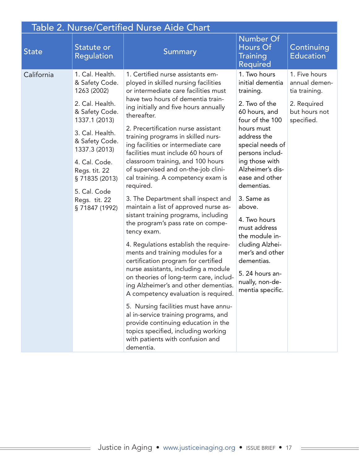| <b>Table 2. Nurse/Certified Nurse Aide Chart</b> |                                                                                                                                                                                                                                                                   |                                                                                                                                                                                                                                                                                                                                                                                                                                                                                                                                                                                                                                                                                                                                                                                                                                                                                                                                                                                                                                                                                                                                                                                            |                                                                                                                                                                                                                                                                                                                                                                                                                                      |                                                                                               |  |
|--------------------------------------------------|-------------------------------------------------------------------------------------------------------------------------------------------------------------------------------------------------------------------------------------------------------------------|--------------------------------------------------------------------------------------------------------------------------------------------------------------------------------------------------------------------------------------------------------------------------------------------------------------------------------------------------------------------------------------------------------------------------------------------------------------------------------------------------------------------------------------------------------------------------------------------------------------------------------------------------------------------------------------------------------------------------------------------------------------------------------------------------------------------------------------------------------------------------------------------------------------------------------------------------------------------------------------------------------------------------------------------------------------------------------------------------------------------------------------------------------------------------------------------|--------------------------------------------------------------------------------------------------------------------------------------------------------------------------------------------------------------------------------------------------------------------------------------------------------------------------------------------------------------------------------------------------------------------------------------|-----------------------------------------------------------------------------------------------|--|
| <b>State</b>                                     | Statute or<br><b>Regulation</b>                                                                                                                                                                                                                                   | <b>Summary</b>                                                                                                                                                                                                                                                                                                                                                                                                                                                                                                                                                                                                                                                                                                                                                                                                                                                                                                                                                                                                                                                                                                                                                                             | <b>Number Of</b><br>Hours Of<br><b>Training</b><br>Required                                                                                                                                                                                                                                                                                                                                                                          | Continuing<br><b>Education</b>                                                                |  |
| California                                       | 1. Cal. Health.<br>& Safety Code.<br>1263 (2002)<br>2. Cal. Health.<br>& Safety Code.<br>1337.1 (2013)<br>3. Cal. Health.<br>& Safety Code.<br>1337.3 (2013)<br>4. Cal. Code.<br>Regs. tit. 22<br>§71835 (2013)<br>5. Cal. Code<br>Regs. tit. 22<br>§71847 (1992) | 1. Certified nurse assistants em-<br>ployed in skilled nursing facilities<br>or intermediate care facilities must<br>have two hours of dementia train-<br>ing initially and five hours annually<br>thereafter.<br>2. Precertification nurse assistant<br>training programs in skilled nurs-<br>ing facilities or intermediate care<br>facilities must include 60 hours of<br>classroom training, and 100 hours<br>of supervised and on-the-job clini-<br>cal training. A competency exam is<br>required.<br>3. The Department shall inspect and<br>maintain a list of approved nurse as-<br>sistant training programs, including<br>the program's pass rate on compe-<br>tency exam.<br>4. Regulations establish the require-<br>ments and training modules for a<br>certification program for certified<br>nurse assistants, including a module<br>on theories of long-term care, includ-<br>ing Alzheimer's and other dementias.<br>A competency evaluation is required.<br>5. Nursing facilities must have annu-<br>al in-service training programs, and<br>provide continuing education in the<br>topics specified, including working<br>with patients with confusion and<br>dementia. | 1. Two hours<br>initial dementia<br>training.<br>2. Two of the<br>60 hours, and<br>four of the 100<br>hours must<br>address the<br>special needs of<br>persons includ-<br>ing those with<br>Alzheimer's dis-<br>ease and other<br>dementias.<br>3. Same as<br>above.<br>4. Two hours<br>must address<br>the module in-<br>cluding Alzhei-<br>mer's and other<br>dementias.<br>5. 24 hours an-<br>nually, non-de-<br>mentia specific. | 1. Five hours<br>annual demen-<br>tia training.<br>2. Required<br>but hours not<br>specified. |  |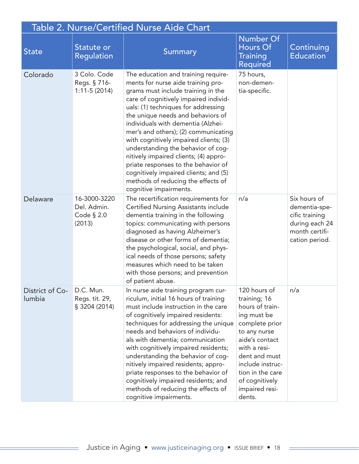| Table 2. Nurse/Certified Nurse Aide Chart |                                                     |                                                                                                                                                                                                                                                                                                                                                                                                                                                                                                                                                                                             |                                                                                                                                                                                                                                           |                                                                                                       |  |
|-------------------------------------------|-----------------------------------------------------|---------------------------------------------------------------------------------------------------------------------------------------------------------------------------------------------------------------------------------------------------------------------------------------------------------------------------------------------------------------------------------------------------------------------------------------------------------------------------------------------------------------------------------------------------------------------------------------------|-------------------------------------------------------------------------------------------------------------------------------------------------------------------------------------------------------------------------------------------|-------------------------------------------------------------------------------------------------------|--|
| <b>State</b>                              | Statute or<br><b>Regulation</b>                     | Summary                                                                                                                                                                                                                                                                                                                                                                                                                                                                                                                                                                                     | Number Of<br>Hours Of<br><b>Training</b><br><b>Required</b>                                                                                                                                                                               | Continuing<br><b>Education</b>                                                                        |  |
| Colorado                                  | 3 Colo. Code<br>Regs. § 716-<br>$1:11-5(2014)$      | The education and training require-<br>ments for nurse aide training pro-<br>grams must include training in the<br>care of cognitively impaired individ-<br>uals: (1) techniques for addressing<br>the unique needs and behaviors of<br>individuals with dementia (Alzhei-<br>mer's and others); (2) communicating<br>with cognitively impaired clients; (3)<br>understanding the behavior of cog-<br>nitively impaired clients; (4) appro-<br>priate responses to the behavior of<br>cognitively impaired clients; and (5)<br>methods of reducing the effects of<br>cognitive impairments. | 75 hours,<br>non-demen-<br>tia-specific.                                                                                                                                                                                                  |                                                                                                       |  |
| Delaware                                  | 16-3000-3220<br>Del. Admin.<br>Code § 2.0<br>(2013) | The recertification requirements for<br><b>Certified Nursing Assistants include</b><br>dementia training in the following<br>topics: communicating with persons<br>diagnosed as having Alzheimer's<br>disease or other forms of dementia;<br>the psychological, social, and phys-<br>ical needs of those persons; safety<br>measures which need to be taken<br>with those persons; and prevention<br>of patient abuse.                                                                                                                                                                      | n/a                                                                                                                                                                                                                                       | Six hours of<br>dementia-spe-<br>cific training<br>during each 24<br>month certifi-<br>cation period. |  |
| District of Co-<br>lumbia                 | D.C. Mun.<br>Regs. tit. 29,<br>§ 3204 (2014)        | In nurse aide training program cur-<br>riculum, initial 16 hours of training<br>must include instruction in the care<br>of cognitively impaired residents:<br>techniques for addressing the unique<br>needs and behaviors of individu-<br>als with dementia; communication<br>with cognitively impaired residents;<br>understanding the behavior of cog-<br>nitively impaired residents; appro-<br>priate responses to the behavior of<br>cognitively impaired residents; and<br>methods of reducing the effects of<br>cognitive impairments.                                               | 120 hours of<br>training; 16<br>hours of train-<br>ing must be<br>complete prior<br>to any nurse<br>aide's contact<br>with a resi-<br>dent and must<br>include instruc-<br>tion in the care<br>of cognitively<br>impaired resi-<br>dents. | n/a                                                                                                   |  |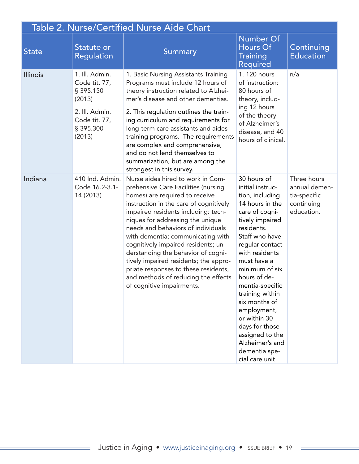| Table 2. Nurse/Certified Nurse Aide Chart |                                                                                                                  |                                                                                                                                                                                                                                                                                                                                                                                                                                                                                                                                              |                                                                                                                                                                                                                                                                                                                                                                                                                    |                                                                          |  |
|-------------------------------------------|------------------------------------------------------------------------------------------------------------------|----------------------------------------------------------------------------------------------------------------------------------------------------------------------------------------------------------------------------------------------------------------------------------------------------------------------------------------------------------------------------------------------------------------------------------------------------------------------------------------------------------------------------------------------|--------------------------------------------------------------------------------------------------------------------------------------------------------------------------------------------------------------------------------------------------------------------------------------------------------------------------------------------------------------------------------------------------------------------|--------------------------------------------------------------------------|--|
| <b>State</b>                              | Statute or<br><b>Regulation</b>                                                                                  | <b>Summary</b>                                                                                                                                                                                                                                                                                                                                                                                                                                                                                                                               | <b>Number Of</b><br>Hours Of<br><b>Training</b><br>Required                                                                                                                                                                                                                                                                                                                                                        | Continuing<br><b>Education</b>                                           |  |
| Illinois                                  | 1. Ill. Admin.<br>Code tit. 77,<br>§ 395.150<br>(2013)<br>2. Ill. Admin.<br>Code tit. 77,<br>§ 395.300<br>(2013) | 1. Basic Nursing Assistants Training<br>Programs must include 12 hours of<br>theory instruction related to Alzhei-<br>mer's disease and other dementias.<br>2. This regulation outlines the train-<br>ing curriculum and requirements for<br>long-term care assistants and aides<br>training programs. The requirements<br>are complex and comprehensive,<br>and do not lend themselves to<br>summarization, but are among the<br>strongest in this survey.                                                                                  | 1. 120 hours<br>of instruction:<br>80 hours of<br>theory, includ-<br>ing 12 hours<br>of the theory<br>of Alzheimer's<br>disease, and 40<br>hours of clinical.                                                                                                                                                                                                                                                      | n/a                                                                      |  |
| Indiana                                   | 410 Ind. Admin.<br>Code 16.2-3.1-<br>14 (2013)                                                                   | Nurse aides hired to work in Com-<br>prehensive Care Facilities (nursing<br>homes) are required to receive<br>instruction in the care of cognitively<br>impaired residents including: tech-<br>niques for addressing the unique<br>needs and behaviors of individuals<br>with dementia; communicating with<br>cognitively impaired residents; un-<br>derstanding the behavior of cogni-<br>tively impaired residents; the appro-<br>priate responses to these residents,<br>and methods of reducing the effects<br>of cognitive impairments. | 30 hours of<br>initial instruc-<br>tion, including<br>14 hours in the<br>care of cogni-<br>tively impaired<br>residents.<br>Staff who have<br>regular contact<br>with residents<br>must have a<br>minimum of six<br>hours of de-<br>mentia-specific<br>training within<br>six months of<br>employment,<br>or within 30<br>days for those<br>assigned to the<br>Alzheimer's and<br>dementia spe-<br>cial care unit. | Three hours<br>annual demen-<br>tia-specific<br>continuing<br>education. |  |

Ξ

 $\equiv$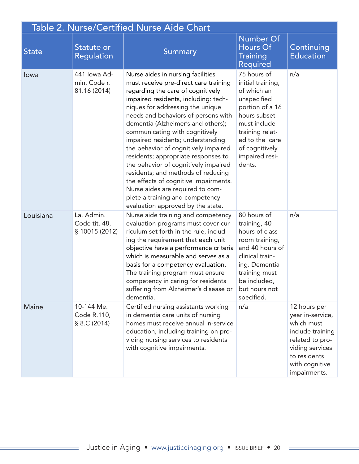| <b>Table 2. Nurse/Certified Nurse Aide Chart</b> |                                               |                                                                                                                                                                                                                                                                                                                                                                                                                                                                                                                                                                                                                                                                   |                                                                                                                                                                                                      |                                                                                                                                                            |  |
|--------------------------------------------------|-----------------------------------------------|-------------------------------------------------------------------------------------------------------------------------------------------------------------------------------------------------------------------------------------------------------------------------------------------------------------------------------------------------------------------------------------------------------------------------------------------------------------------------------------------------------------------------------------------------------------------------------------------------------------------------------------------------------------------|------------------------------------------------------------------------------------------------------------------------------------------------------------------------------------------------------|------------------------------------------------------------------------------------------------------------------------------------------------------------|--|
| <b>State</b>                                     | Statute or<br><b>Regulation</b>               | <b>Summary</b>                                                                                                                                                                                                                                                                                                                                                                                                                                                                                                                                                                                                                                                    | <b>Number Of</b><br>Hours Of<br><b>Training</b><br><b>Required</b>                                                                                                                                   | Continuing<br><b>Education</b>                                                                                                                             |  |
| lowa                                             | 441 Iowa Ad-<br>min. Code r.<br>81.16 (2014)  | Nurse aides in nursing facilities<br>must receive pre-direct care training<br>regarding the care of cognitively<br>impaired residents, including: tech-<br>niques for addressing the unique<br>needs and behaviors of persons with<br>dementia (Alzheimer's and others);<br>communicating with cognitively<br>impaired residents; understanding<br>the behavior of cognitively impaired<br>residents; appropriate responses to<br>the behavior of cognitively impaired<br>residents; and methods of reducing<br>the effects of cognitive impairments.<br>Nurse aides are required to com-<br>plete a training and competency<br>evaluation approved by the state. | 75 hours of<br>initial training,<br>of which an<br>unspecified<br>portion of a 16<br>hours subset<br>must include<br>training relat-<br>ed to the care<br>of cognitively<br>impaired resi-<br>dents. | n/a                                                                                                                                                        |  |
| Louisiana                                        | La. Admin.<br>Code tit. 48,<br>§ 10015 (2012) | Nurse aide training and competency<br>evaluation programs must cover cur-<br>riculum set forth in the rule, includ-<br>ing the requirement that each unit<br>objective have a performance criteria<br>which is measurable and serves as a<br>basis for a competency evaluation.<br>The training program must ensure<br>competency in caring for residents<br>suffering from Alzheimer's disease or<br>dementia.                                                                                                                                                                                                                                                   | 80 hours of<br>training, 40<br>hours of class-<br>room training,<br>and 40 hours of<br>clinical train-<br>ing. Dementia<br>training must<br>be included,<br>but hours not<br>specified.              | n/a                                                                                                                                                        |  |
| Maine                                            | 10-144 Me.<br>Code R.110,<br>§ 8.C (2014)     | Certified nursing assistants working<br>in dementia care units of nursing<br>homes must receive annual in-service<br>education, including training on pro-<br>viding nursing services to residents<br>with cognitive impairments.                                                                                                                                                                                                                                                                                                                                                                                                                                 | n/a                                                                                                                                                                                                  | 12 hours per<br>year in-service,<br>which must<br>include training<br>related to pro-<br>viding services<br>to residents<br>with cognitive<br>impairments. |  |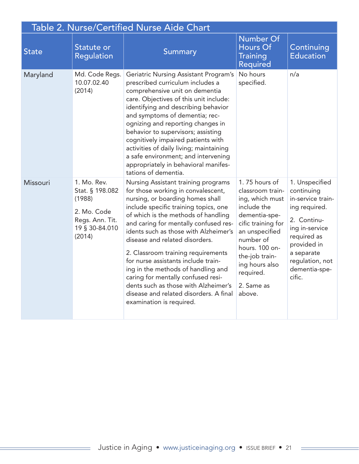|              | Table 2. Nurse/Certified Nurse Aide Chart                                                              |                                                                                                                                                                                                                                                                                                                                                                                                                                                                                                                                                                                          |                                                                                                                                                                                                                                      |                                                                                                                                                                                               |  |
|--------------|--------------------------------------------------------------------------------------------------------|------------------------------------------------------------------------------------------------------------------------------------------------------------------------------------------------------------------------------------------------------------------------------------------------------------------------------------------------------------------------------------------------------------------------------------------------------------------------------------------------------------------------------------------------------------------------------------------|--------------------------------------------------------------------------------------------------------------------------------------------------------------------------------------------------------------------------------------|-----------------------------------------------------------------------------------------------------------------------------------------------------------------------------------------------|--|
| <b>State</b> | Statute or<br>Regulation                                                                               | Summary                                                                                                                                                                                                                                                                                                                                                                                                                                                                                                                                                                                  | <b>Number Of</b><br><b>Hours Of</b><br><b>Training</b><br><b>Required</b>                                                                                                                                                            | Continuing<br><b>Education</b>                                                                                                                                                                |  |
| Maryland     | Md. Code Regs.<br>10.07.02.40<br>(2014)                                                                | Geriatric Nursing Assistant Program's<br>prescribed curriculum includes a<br>comprehensive unit on dementia<br>care. Objectives of this unit include:<br>identifying and describing behavior<br>and symptoms of dementia; rec-<br>ognizing and reporting changes in<br>behavior to supervisors; assisting<br>cognitively impaired patients with<br>activities of daily living; maintaining<br>a safe environment; and intervening<br>appropriately in behavioral manifes-<br>tations of dementia.                                                                                        | No hours<br>specified.                                                                                                                                                                                                               | n/a                                                                                                                                                                                           |  |
| Missouri     | 1. Mo. Rev.<br>Stat. § 198.082<br>(1988)<br>2. Mo. Code<br>Regs. Ann. Tit.<br>19 § 30-84.010<br>(2014) | Nursing Assistant training programs<br>for those working in convalescent,<br>nursing, or boarding homes shall<br>include specific training topics, one<br>of which is the methods of handling<br>and caring for mentally confused res-<br>idents such as those with Alzheimer's<br>disease and related disorders.<br>2. Classroom training requirements<br>for nurse assistants include train-<br>ing in the methods of handling and<br>caring for mentally confused resi-<br>dents such as those with Alzheimer's<br>disease and related disorders. A final<br>examination is required. | 1.75 hours of<br>classroom train-<br>ing, which must<br>include the<br>dementia-spe-<br>cific training for<br>an unspecified<br>number of<br>hours. 100 on-<br>the-job train-<br>ing hours also<br>required.<br>2. Same as<br>above. | 1. Unspecified<br>continuing<br>in-service train-<br>ing required.<br>2. Continu-<br>ing in-service<br>required as<br>provided in<br>a separate<br>regulation, not<br>dementia-spe-<br>cific. |  |

 $\equiv$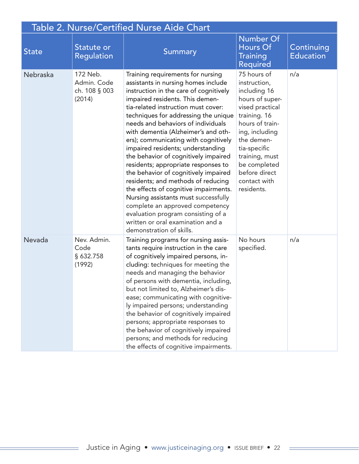| Table 2. Nurse/Certified Nurse Aide Chart |                                                    |                                                                                                                                                                                                                                                                                                                                                                                                                                                                                                                                                                                                                                                                                                                                                                                        |                                                                                                                                                                                                                                                       |                                |  |
|-------------------------------------------|----------------------------------------------------|----------------------------------------------------------------------------------------------------------------------------------------------------------------------------------------------------------------------------------------------------------------------------------------------------------------------------------------------------------------------------------------------------------------------------------------------------------------------------------------------------------------------------------------------------------------------------------------------------------------------------------------------------------------------------------------------------------------------------------------------------------------------------------------|-------------------------------------------------------------------------------------------------------------------------------------------------------------------------------------------------------------------------------------------------------|--------------------------------|--|
| <b>State</b>                              | Statute or<br>Regulation                           | Summary                                                                                                                                                                                                                                                                                                                                                                                                                                                                                                                                                                                                                                                                                                                                                                                | <b>Number Of</b><br><b>Hours Of</b><br><b>Training</b><br><b>Required</b>                                                                                                                                                                             | Continuing<br><b>Education</b> |  |
| Nebraska                                  | 172 Neb.<br>Admin. Code<br>ch. 108 § 003<br>(2014) | Training requirements for nursing<br>assistants in nursing homes include<br>instruction in the care of cognitively<br>impaired residents. This demen-<br>tia-related instruction must cover:<br>techniques for addressing the unique<br>needs and behaviors of individuals<br>with dementia (Alzheimer's and oth-<br>ers); communicating with cognitively<br>impaired residents; understanding<br>the behavior of cognitively impaired<br>residents; appropriate responses to<br>the behavior of cognitively impaired<br>residents; and methods of reducing<br>the effects of cognitive impairments.<br>Nursing assistants must successfully<br>complete an approved competency<br>evaluation program consisting of a<br>written or oral examination and a<br>demonstration of skills. | 75 hours of<br>instruction,<br>including 16<br>hours of super-<br>vised practical<br>training. 16<br>hours of train-<br>ing, including<br>the demen-<br>tia-specific<br>training, must<br>be completed<br>before direct<br>contact with<br>residents. | n/a                            |  |
| Nevada                                    | Nev. Admin.<br>Code<br>§ 632.758<br>(1992)         | Training programs for nursing assis-<br>tants require instruction in the care<br>of cognitively impaired persons, in-<br>cluding: techniques for meeting the<br>needs and managing the behavior<br>of persons with dementia, including,<br>but not limited to, Alzheimer's dis-<br>ease; communicating with cognitive-<br>ly impaired persons; understanding<br>the behavior of cognitively impaired<br>persons; appropriate responses to<br>the behavior of cognitively impaired<br>persons; and methods for reducing<br>the effects of cognitive impairments.                                                                                                                                                                                                                        | No hours<br>specified.                                                                                                                                                                                                                                | n/a                            |  |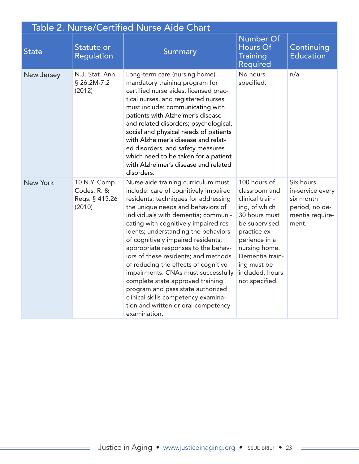| Table 2. Nurse/Certified Nurse Aide Chart |                                                          |                                                                                                                                                                                                                                                                                                                                                                                                                                                                                                                                                                                                                                                             |                                                                                                                                                                                                                              |                                                                                          |  |
|-------------------------------------------|----------------------------------------------------------|-------------------------------------------------------------------------------------------------------------------------------------------------------------------------------------------------------------------------------------------------------------------------------------------------------------------------------------------------------------------------------------------------------------------------------------------------------------------------------------------------------------------------------------------------------------------------------------------------------------------------------------------------------------|------------------------------------------------------------------------------------------------------------------------------------------------------------------------------------------------------------------------------|------------------------------------------------------------------------------------------|--|
| <b>State</b>                              | Statute or<br>Regulation                                 | <b>Summary</b>                                                                                                                                                                                                                                                                                                                                                                                                                                                                                                                                                                                                                                              | <b>Number Of</b><br><b>Hours Of</b><br><b>Training</b><br><b>Required</b>                                                                                                                                                    | Continuing<br><b>Education</b>                                                           |  |
| New Jersey                                | N.J. Stat. Ann.<br>§ 26:2M-7.2<br>(2012)                 | Long-term care (nursing home)<br>mandatory training program for<br>certified nurse aides, licensed prac-<br>tical nurses, and registered nurses<br>must include: communicating with<br>patients with Alzheimer's disease<br>and related disorders; psychological,<br>social and physical needs of patients<br>with Alzheimer's disease and relat-<br>ed disorders; and safety measures<br>which need to be taken for a patient<br>with Alzheimer's disease and related<br>disorders.                                                                                                                                                                        | No hours<br>specified.                                                                                                                                                                                                       | n/a                                                                                      |  |
| <b>New York</b>                           | 10 N.Y. Comp.<br>Codes. R. &<br>Regs. § 415.26<br>(2010) | Nurse aide training curriculum must<br>include: care of cognitively impaired<br>residents; techniques for addressing<br>the unique needs and behaviors of<br>individuals with dementia; communi-<br>cating with cognitively impaired res-<br>idents; understanding the behaviors<br>of cognitively impaired residents;<br>appropriate responses to the behav-<br>iors of these residents; and methods<br>of reducing the effects of cognitive<br>impairments. CNAs must successfully<br>complete state approved training<br>program and pass state authorized<br>clinical skills competency examina-<br>tion and written or oral competency<br>examination. | 100 hours of<br>classroom and<br>clinical train-<br>ing, of which<br>30 hours must<br>be supervised<br>practice ex-<br>perience in a<br>nursing home.<br>Dementia train-<br>ing must be<br>included, hours<br>not specified. | Six hours<br>in-service every<br>six month<br>period, no de-<br>mentia require-<br>ment. |  |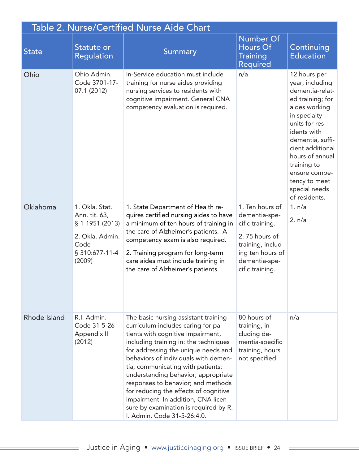| <b>Table 2. Nurse/Certified Nurse Aide Chart</b> |                                                                                                           |                                                                                                                                                                                                                                                                                                                                                                                                                                                                                                                   |                                                                                                                                                   |                                                                                                                                                                                                                                                                                        |  |
|--------------------------------------------------|-----------------------------------------------------------------------------------------------------------|-------------------------------------------------------------------------------------------------------------------------------------------------------------------------------------------------------------------------------------------------------------------------------------------------------------------------------------------------------------------------------------------------------------------------------------------------------------------------------------------------------------------|---------------------------------------------------------------------------------------------------------------------------------------------------|----------------------------------------------------------------------------------------------------------------------------------------------------------------------------------------------------------------------------------------------------------------------------------------|--|
| <b>State</b>                                     | Statute or<br><b>Regulation</b>                                                                           | Summary                                                                                                                                                                                                                                                                                                                                                                                                                                                                                                           | <b>Number Of</b><br>Hours Of<br><b>Training</b><br><b>Required</b>                                                                                | Continuing<br><b>Education</b>                                                                                                                                                                                                                                                         |  |
| Ohio                                             | Ohio Admin.<br>Code 3701-17-<br>07.1 (2012)                                                               | In-Service education must include<br>training for nurse aides providing<br>nursing services to residents with<br>cognitive impairment. General CNA<br>competency evaluation is required.                                                                                                                                                                                                                                                                                                                          | n/a                                                                                                                                               | 12 hours per<br>year; including<br>dementia-relat-<br>ed training; for<br>aides working<br>in specialty<br>units for res-<br>idents with<br>dementia, suffi-<br>cient additional<br>hours of annual<br>training to<br>ensure compe-<br>tency to meet<br>special needs<br>of residents. |  |
| Oklahoma                                         | 1. Okla. Stat.<br>Ann. tit. 63,<br>$$1-1951(2013)$<br>2. Okla. Admin.<br>Code<br>§ 310:677-11-4<br>(2009) | 1. State Department of Health re-<br>quires certified nursing aides to have<br>a minimum of ten hours of training in<br>the care of Alzheimer's patients. A<br>competency exam is also required.<br>2. Training program for long-term<br>care aides must include training in<br>the care of Alzheimer's patients.                                                                                                                                                                                                 | 1. Ten hours of<br>dementia-spe-<br>cific training.<br>2.75 hours of<br>training, includ-<br>ing ten hours of<br>dementia-spe-<br>cific training. | 1. n/a<br>2. n/a                                                                                                                                                                                                                                                                       |  |
| Rhode Island                                     | R.I. Admin.<br>Code 31-5-26<br>Appendix II<br>(2012)                                                      | The basic nursing assistant training<br>curriculum includes caring for pa-<br>tients with cognitive impairment,<br>including training in: the techniques<br>for addressing the unique needs and<br>behaviors of individuals with demen-<br>tia; communicating with patients;<br>understanding behavior; appropriate<br>responses to behavior; and methods<br>for reducing the effects of cognitive<br>impairment. In addition, CNA licen-<br>sure by examination is required by R.<br>I. Admin. Code 31-5-26:4.0. | 80 hours of<br>training, in-<br>cluding de-<br>mentia-specific<br>training, hours<br>not specified.                                               | n/a                                                                                                                                                                                                                                                                                    |  |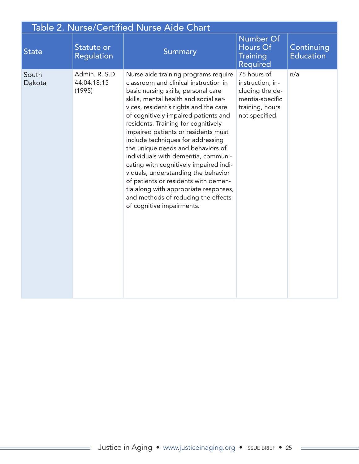| Table 2. Nurse/Certified Nurse Aide Chart |                                         |                                                                                                                                                                                                                                                                                                                                                                                                                                                                                                                                                                                                                                                                                     |                                                                                                            |                                |
|-------------------------------------------|-----------------------------------------|-------------------------------------------------------------------------------------------------------------------------------------------------------------------------------------------------------------------------------------------------------------------------------------------------------------------------------------------------------------------------------------------------------------------------------------------------------------------------------------------------------------------------------------------------------------------------------------------------------------------------------------------------------------------------------------|------------------------------------------------------------------------------------------------------------|--------------------------------|
| <b>State</b>                              | Statute or<br><b>Regulation</b>         | Summary                                                                                                                                                                                                                                                                                                                                                                                                                                                                                                                                                                                                                                                                             | <b>Number Of</b><br>Hours Of<br><b>Training</b><br><b>Required</b>                                         | Continuing<br><b>Education</b> |
| South<br>Dakota                           | Admin. R. S.D.<br>44:04:18:15<br>(1995) | Nurse aide training programs require<br>classroom and clinical instruction in<br>basic nursing skills, personal care<br>skills, mental health and social ser-<br>vices, resident's rights and the care<br>of cognitively impaired patients and<br>residents. Training for cognitively<br>impaired patients or residents must<br>include techniques for addressing<br>the unique needs and behaviors of<br>individuals with dementia, communi-<br>cating with cognitively impaired indi-<br>viduals, understanding the behavior<br>of patients or residents with demen-<br>tia along with appropriate responses,<br>and methods of reducing the effects<br>of cognitive impairments. | 75 hours of<br>instruction, in-<br>cluding the de-<br>mentia-specific<br>training, hours<br>not specified. | n/a                            |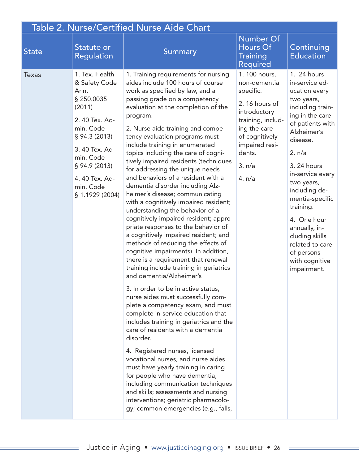| <b>Table 2. Nurse/Certified Nurse Aide Chart</b> |                                                                                                                                                                                                                  |                                                                                                                                                                                                                                                                                                                                                                                                                                                                                                                                                                                                                                                                                                                                                                                                                                                                                                                                                                                                                                                                                                                                                                                                                                                                                                                                                                                                                                                                                                             |                                                                                                                                                                                    |                                                                                                                                                                                                                                                                                                                                                                                    |
|--------------------------------------------------|------------------------------------------------------------------------------------------------------------------------------------------------------------------------------------------------------------------|-------------------------------------------------------------------------------------------------------------------------------------------------------------------------------------------------------------------------------------------------------------------------------------------------------------------------------------------------------------------------------------------------------------------------------------------------------------------------------------------------------------------------------------------------------------------------------------------------------------------------------------------------------------------------------------------------------------------------------------------------------------------------------------------------------------------------------------------------------------------------------------------------------------------------------------------------------------------------------------------------------------------------------------------------------------------------------------------------------------------------------------------------------------------------------------------------------------------------------------------------------------------------------------------------------------------------------------------------------------------------------------------------------------------------------------------------------------------------------------------------------------|------------------------------------------------------------------------------------------------------------------------------------------------------------------------------------|------------------------------------------------------------------------------------------------------------------------------------------------------------------------------------------------------------------------------------------------------------------------------------------------------------------------------------------------------------------------------------|
| <b>State</b>                                     | Statute or<br><b>Regulation</b>                                                                                                                                                                                  | Summary                                                                                                                                                                                                                                                                                                                                                                                                                                                                                                                                                                                                                                                                                                                                                                                                                                                                                                                                                                                                                                                                                                                                                                                                                                                                                                                                                                                                                                                                                                     | <b>Number Of</b><br>Hours Of<br><b>Training</b><br>Required                                                                                                                        | Continuing<br><b>Education</b>                                                                                                                                                                                                                                                                                                                                                     |
| <b>Texas</b>                                     | 1. Tex. Health<br>& Safety Code<br>Ann.<br>§ 250.0035<br>(2011)<br>2. 40 Tex. Ad-<br>min. Code<br>§ 94.3 (2013)<br>3. 40 Tex. Ad-<br>min. Code<br>§ 94.9 (2013)<br>4.40 Tex. Ad-<br>min. Code<br>§ 1.1929 (2004) | 1. Training requirements for nursing<br>aides include 100 hours of course<br>work as specified by law, and a<br>passing grade on a competency<br>evaluation at the completion of the<br>program.<br>2. Nurse aide training and compe-<br>tency evaluation programs must<br>include training in enumerated<br>topics including the care of cogni-<br>tively impaired residents (techniques<br>for addressing the unique needs<br>and behaviors of a resident with a<br>dementia disorder including Alz-<br>heimer's disease; communicating<br>with a cognitively impaired resident;<br>understanding the behavior of a<br>cognitively impaired resident; appro-<br>priate responses to the behavior of<br>a cognitively impaired resident; and<br>methods of reducing the effects of<br>cognitive impairments). In addition,<br>there is a requirement that renewal<br>training include training in geriatrics<br>and dementia/Alzheimer's<br>3. In order to be in active status,<br>nurse aides must successfully com-<br>plete a competency exam, and must<br>complete in-service education that<br>includes training in geriatrics and the<br>care of residents with a dementia<br>disorder.<br>4. Registered nurses, licensed<br>vocational nurses, and nurse aides<br>must have yearly training in caring<br>for people who have dementia,<br>including communication techniques<br>and skills; assessments and nursing<br>interventions; geriatric pharmacolo-<br>gy; common emergencies (e.g., falls, | 1. 100 hours,<br>non-dementia<br>specific.<br>2.16 hours of<br>introductory<br>training, includ-<br>ing the care<br>of cognitively<br>impaired resi-<br>dents.<br>3. n/a<br>4. n/a | 1. 24 hours<br>in-service ed-<br>ucation every<br>two years,<br>including train-<br>ing in the care<br>of patients with<br>Alzheimer's<br>disease.<br>2. n/a<br>3. 24 hours<br>in-service every<br>two years,<br>including de-<br>mentia-specific<br>training.<br>4. One hour<br>annually, in-<br>cluding skills<br>related to care<br>of persons<br>with cognitive<br>impairment. |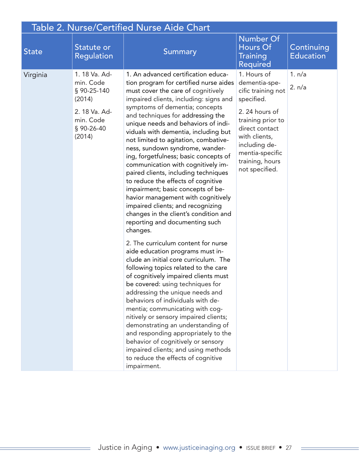| <b>Table 2. Nurse/Certified Nurse Aide Chart</b> |                                                                                                           |                                                                                                                                                                                                                                                                                                                                                                                                                                                                                                                                                                                                                                                                                                                                                                    |                                                                                                                                                                                                                    |                                |  |
|--------------------------------------------------|-----------------------------------------------------------------------------------------------------------|--------------------------------------------------------------------------------------------------------------------------------------------------------------------------------------------------------------------------------------------------------------------------------------------------------------------------------------------------------------------------------------------------------------------------------------------------------------------------------------------------------------------------------------------------------------------------------------------------------------------------------------------------------------------------------------------------------------------------------------------------------------------|--------------------------------------------------------------------------------------------------------------------------------------------------------------------------------------------------------------------|--------------------------------|--|
| <b>State</b>                                     | Statute or<br><b>Regulation</b>                                                                           | <b>Summary</b>                                                                                                                                                                                                                                                                                                                                                                                                                                                                                                                                                                                                                                                                                                                                                     | <b>Number Of</b><br>Hours Of<br><b>Training</b><br>Required                                                                                                                                                        | Continuing<br><b>Education</b> |  |
| Virginia                                         | 1. 18 Va. Ad-<br>min. Code<br>§ 90-25-140<br>(2014)<br>2. 18 Va. Ad-<br>min. Code<br>§ 90-26-40<br>(2014) | 1. An advanced certification educa-<br>tion program for certified nurse aides<br>must cover the care of cognitively<br>impaired clients, including: signs and<br>symptoms of dementia; concepts<br>and techniques for addressing the<br>unique needs and behaviors of indi-<br>viduals with dementia, including but<br>not limited to agitation, combative-<br>ness, sundown syndrome, wander-<br>ing, forgetfulness; basic concepts of<br>communication with cognitively im-<br>paired clients, including techniques<br>to reduce the effects of cognitive<br>impairment; basic concepts of be-<br>havior management with cognitively<br>impaired clients; and recognizing<br>changes in the client's condition and<br>reporting and documenting such<br>changes. | 1. Hours of<br>dementia-spe-<br>cific training not<br>specified.<br>2.24 hours of<br>training prior to<br>direct contact<br>with clients,<br>including de-<br>mentia-specific<br>training, hours<br>not specified. | 1. n/a<br>2. n/a               |  |
|                                                  |                                                                                                           | 2. The curriculum content for nurse<br>aide education programs must in-<br>clude an initial core curriculum. The<br>following topics related to the care<br>of cognitively impaired clients must<br>be covered: using techniques for<br>addressing the unique needs and<br>behaviors of individuals with de-<br>mentia; communicating with cog-<br>nitively or sensory impaired clients;<br>demonstrating an understanding of<br>and responding appropriately to the<br>behavior of cognitively or sensory<br>impaired clients; and using methods<br>to reduce the effects of cognitive<br>impairment.                                                                                                                                                             |                                                                                                                                                                                                                    |                                |  |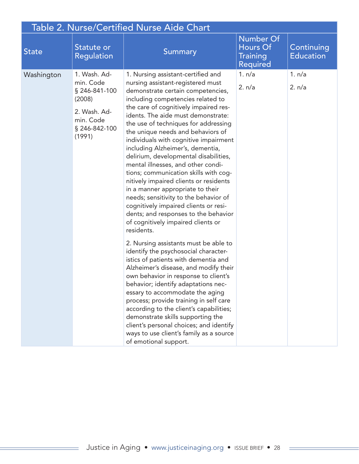| <b>Table 2. Nurse/Certified Nurse Aide Chart</b> |                                                                                                              |                                                                                                                                                                                                                                                                                                                                                                                                                                                                                                                                                                                                                                                                                                                                                                                                                                                                                                                                                                                                                                                                                                                                                                                                                                                                                                             |                                                                    |                                |  |
|--------------------------------------------------|--------------------------------------------------------------------------------------------------------------|-------------------------------------------------------------------------------------------------------------------------------------------------------------------------------------------------------------------------------------------------------------------------------------------------------------------------------------------------------------------------------------------------------------------------------------------------------------------------------------------------------------------------------------------------------------------------------------------------------------------------------------------------------------------------------------------------------------------------------------------------------------------------------------------------------------------------------------------------------------------------------------------------------------------------------------------------------------------------------------------------------------------------------------------------------------------------------------------------------------------------------------------------------------------------------------------------------------------------------------------------------------------------------------------------------------|--------------------------------------------------------------------|--------------------------------|--|
| <b>State</b>                                     | Statute or<br><b>Regulation</b>                                                                              | Summary                                                                                                                                                                                                                                                                                                                                                                                                                                                                                                                                                                                                                                                                                                                                                                                                                                                                                                                                                                                                                                                                                                                                                                                                                                                                                                     | <b>Number Of</b><br>Hours Of<br><b>Training</b><br><b>Required</b> | Continuing<br><b>Education</b> |  |
| Washington                                       | 1. Wash. Ad-<br>min. Code<br>§ 246-841-100<br>(2008)<br>2. Wash. Ad-<br>min. Code<br>§ 246-842-100<br>(1991) | 1. Nursing assistant-certified and<br>nursing assistant-registered must<br>demonstrate certain competencies,<br>including competencies related to<br>the care of cognitively impaired res-<br>idents. The aide must demonstrate:<br>the use of techniques for addressing<br>the unique needs and behaviors of<br>individuals with cognitive impairment<br>including Alzheimer's, dementia,<br>delirium, developmental disabilities,<br>mental illnesses, and other condi-<br>tions; communication skills with cog-<br>nitively impaired clients or residents<br>in a manner appropriate to their<br>needs; sensitivity to the behavior of<br>cognitively impaired clients or resi-<br>dents; and responses to the behavior<br>of cognitively impaired clients or<br>residents.<br>2. Nursing assistants must be able to<br>identify the psychosocial character-<br>istics of patients with dementia and<br>Alzheimer's disease, and modify their<br>own behavior in response to client's<br>behavior; identify adaptations nec-<br>essary to accommodate the aging<br>process; provide training in self care<br>according to the client's capabilities;<br>demonstrate skills supporting the<br>client's personal choices; and identify<br>ways to use client's family as a source<br>of emotional support. | 1. n/a<br>2. n/a                                                   | 1. n/a<br>2. n/a               |  |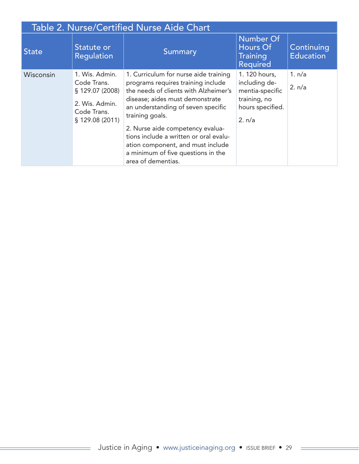|              | Table 2. Nurse/Certified Nurse Aide Chart                                                           |                                                                                                                                                                                                                                                                                                                                                                                                 |                                                                                                 |                                |  |
|--------------|-----------------------------------------------------------------------------------------------------|-------------------------------------------------------------------------------------------------------------------------------------------------------------------------------------------------------------------------------------------------------------------------------------------------------------------------------------------------------------------------------------------------|-------------------------------------------------------------------------------------------------|--------------------------------|--|
| <b>State</b> | Statute or<br><b>Regulation</b>                                                                     | Summary                                                                                                                                                                                                                                                                                                                                                                                         | <b>Number Of</b><br>Hours Of<br><b>Training</b><br><b>Required</b>                              | Continuing<br><b>Education</b> |  |
| Wisconsin    | 1. Wis. Admin.<br>Code Trans.<br>\$129.07(2008)<br>2. Wis. Admin.<br>Code Trans.<br>§ 129.08 (2011) | 1. Curriculum for nurse aide training<br>programs requires training include<br>the needs of clients with Alzheimer's<br>disease; aides must demonstrate<br>an understanding of seven specific<br>training goals.<br>2. Nurse aide competency evalua-<br>tions include a written or oral evalu-<br>ation component, and must include<br>a minimum of five questions in the<br>area of dementias. | 1. 120 hours,<br>including de-<br>mentia-specific<br>training, no<br>hours specified.<br>2. n/a | 1. n/a<br>2. n/a               |  |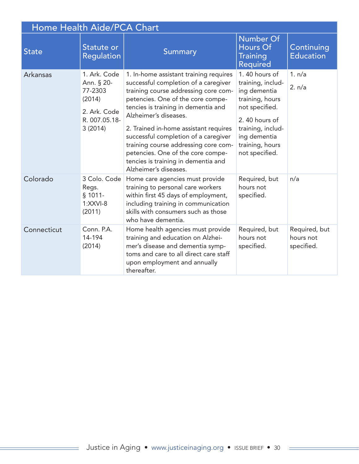| Home Health Aide/PCA Chart |                                                                                             |                                                                                                                                                                                                                                                                                                                                                                                                                                                           |                                                                                                                                                                                    |                                          |
|----------------------------|---------------------------------------------------------------------------------------------|-----------------------------------------------------------------------------------------------------------------------------------------------------------------------------------------------------------------------------------------------------------------------------------------------------------------------------------------------------------------------------------------------------------------------------------------------------------|------------------------------------------------------------------------------------------------------------------------------------------------------------------------------------|------------------------------------------|
| <b>State</b>               | Statute or<br><b>Regulation</b>                                                             | Summary                                                                                                                                                                                                                                                                                                                                                                                                                                                   | <b>Number Of</b><br>Hours Of<br><b>Training</b><br><b>Required</b>                                                                                                                 | Continuing<br><b>Education</b>           |
| Arkansas                   | 1. Ark. Code<br>Ann. § 20-<br>77-2303<br>(2014)<br>2. Ark. Code<br>R. 007.05.18-<br>3(2014) | 1. In-home assistant training requires<br>successful completion of a caregiver<br>training course addressing core com-<br>petencies. One of the core compe-<br>tencies is training in dementia and<br>Alzheimer's diseases.<br>2. Trained in-home assistant requires<br>successful completion of a caregiver<br>training course addressing core com-<br>petencies. One of the core compe-<br>tencies is training in dementia and<br>Alzheimer's diseases. | 1.40 hours of<br>training, includ-<br>ing dementia<br>training, hours<br>not specified.<br>2.40 hours of<br>training, includ-<br>ing dementia<br>training, hours<br>not specified. | 1. n/a<br>2. n/a                         |
| Colorado                   | 3 Colo. Code<br>Regs.<br>$§$ 1011-<br>$1:XXVI-8$<br>(2011)                                  | Home care agencies must provide<br>training to personal care workers<br>within first 45 days of employment,<br>including training in communication<br>skills with consumers such as those<br>who have dementia.                                                                                                                                                                                                                                           | Required, but<br>hours not<br>specified.                                                                                                                                           | n/a                                      |
| Connecticut                | Conn. P.A.<br>14-194<br>(2014)                                                              | Home health agencies must provide<br>training and education on Alzhei-<br>mer's disease and dementia symp-<br>toms and care to all direct care staff<br>upon employment and annually<br>thereafter.                                                                                                                                                                                                                                                       | Required, but<br>hours not<br>specified.                                                                                                                                           | Required, but<br>hours not<br>specified. |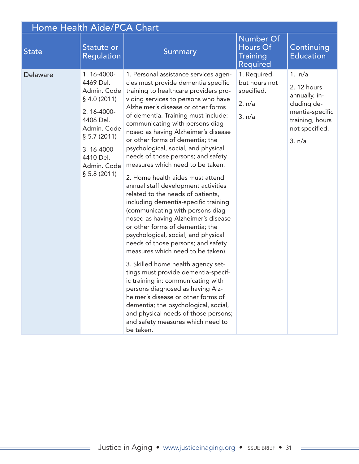| Home Health Aide/PCA Chart |                                                                                                                                                                            |                                                                                                                                                                                                                                                                                                                                                                                                                                                                                                                                                                                                                                                                                                                                                                                                                                                                                                                                                                                                                                                                                                                                                                                                  |                                                                    |                                                                                                                         |  |
|----------------------------|----------------------------------------------------------------------------------------------------------------------------------------------------------------------------|--------------------------------------------------------------------------------------------------------------------------------------------------------------------------------------------------------------------------------------------------------------------------------------------------------------------------------------------------------------------------------------------------------------------------------------------------------------------------------------------------------------------------------------------------------------------------------------------------------------------------------------------------------------------------------------------------------------------------------------------------------------------------------------------------------------------------------------------------------------------------------------------------------------------------------------------------------------------------------------------------------------------------------------------------------------------------------------------------------------------------------------------------------------------------------------------------|--------------------------------------------------------------------|-------------------------------------------------------------------------------------------------------------------------|--|
| <b>State</b>               | Statute or<br><b>Regulation</b>                                                                                                                                            | Summary                                                                                                                                                                                                                                                                                                                                                                                                                                                                                                                                                                                                                                                                                                                                                                                                                                                                                                                                                                                                                                                                                                                                                                                          | <b>Number Of</b><br>Hours Of<br><b>Training</b><br><b>Required</b> | Continuing<br><b>Education</b>                                                                                          |  |
| Delaware                   | 1.16-4000-<br>4469 Del.<br>Admin. Code<br>$§$ 4.0 (2011)<br>2.16-4000-<br>4406 Del.<br>Admin. Code<br>\$5.7(2011)<br>3.16-4000-<br>4410 Del.<br>Admin. Code<br>\$5.8(2011) | 1. Personal assistance services agen-<br>cies must provide dementia specific<br>training to healthcare providers pro-<br>viding services to persons who have<br>Alzheimer's disease or other forms<br>of dementia. Training must include:<br>communicating with persons diag-<br>nosed as having Alzheimer's disease<br>or other forms of dementia; the<br>psychological, social, and physical<br>needs of those persons; and safety<br>measures which need to be taken.<br>2. Home health aides must attend<br>annual staff development activities<br>related to the needs of patients,<br>including dementia-specific training<br>(communicating with persons diag-<br>nosed as having Alzheimer's disease<br>or other forms of dementia; the<br>psychological, social, and physical<br>needs of those persons; and safety<br>measures which need to be taken).<br>3. Skilled home health agency set-<br>tings must provide dementia-specif-<br>ic training in: communicating with<br>persons diagnosed as having Alz-<br>heimer's disease or other forms of<br>dementia; the psychological, social,<br>and physical needs of those persons;<br>and safety measures which need to<br>be taken. | 1. Required,<br>but hours not<br>specified.<br>2. n/a<br>3. n/a    | 1. n/a<br>2. 12 hours<br>annually, in-<br>cluding de-<br>mentia-specific<br>training, hours<br>not specified.<br>3. n/a |  |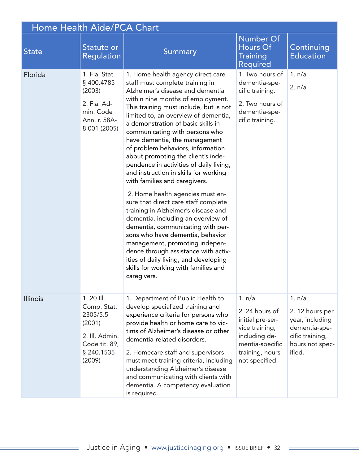| Home Health Aide/PCA Chart |                                                                                                             |                                                                                                                                                                                                                                                                                                                                                                                                                                                                                                                                                                                                                                                                                                                                                                                                                                                                                                                                                      |                                                                                                                                        |                                                                                                               |
|----------------------------|-------------------------------------------------------------------------------------------------------------|------------------------------------------------------------------------------------------------------------------------------------------------------------------------------------------------------------------------------------------------------------------------------------------------------------------------------------------------------------------------------------------------------------------------------------------------------------------------------------------------------------------------------------------------------------------------------------------------------------------------------------------------------------------------------------------------------------------------------------------------------------------------------------------------------------------------------------------------------------------------------------------------------------------------------------------------------|----------------------------------------------------------------------------------------------------------------------------------------|---------------------------------------------------------------------------------------------------------------|
| <b>State</b>               | Statute or<br><b>Regulation</b>                                                                             | <b>Summary</b>                                                                                                                                                                                                                                                                                                                                                                                                                                                                                                                                                                                                                                                                                                                                                                                                                                                                                                                                       | <b>Number Of</b><br>Hours Of<br><b>Training</b><br><b>Required</b>                                                                     | Continuing<br><b>Education</b>                                                                                |
| Florida                    | 1. Fla. Stat.<br>§400.4785<br>(2003)<br>2. Fla. Ad-<br>min. Code<br>Ann. r. 58A-<br>8.001 (2005)            | 1. Home health agency direct care<br>staff must complete training in<br>Alzheimer's disease and dementia<br>within nine months of employment.<br>This training must include, but is not<br>limited to, an overview of dementia,<br>a demonstration of basic skills in<br>communicating with persons who<br>have dementia, the management<br>of problem behaviors, information<br>about promoting the client's inde-<br>pendence in activities of daily living,<br>and instruction in skills for working<br>with families and caregivers.<br>2. Home health agencies must en-<br>sure that direct care staff complete<br>training in Alzheimer's disease and<br>dementia, including an overview of<br>dementia, communicating with per-<br>sons who have dementia, behavior<br>management, promoting indepen-<br>dence through assistance with activ-<br>ities of daily living, and developing<br>skills for working with families and<br>caregivers. | 1. Two hours of<br>dementia-spe-<br>cific training.<br>2. Two hours of<br>dementia-spe-<br>cific training.                             | 1. n/a<br>2. n/a                                                                                              |
| <b>Illinois</b>            | $1.20$ III.<br>Comp. Stat.<br>2305/5.5<br>(2001)<br>2. Ill. Admin.<br>Code tit. 89,<br>§ 240.1535<br>(2009) | 1. Department of Public Health to<br>develop specialized training and<br>experience criteria for persons who<br>provide health or home care to vic-<br>tims of Alzheimer's disease or other<br>dementia-related disorders.<br>2. Homecare staff and supervisors<br>must meet training criteria, including<br>understanding Alzheimer's disease<br>and communicating with clients with<br>dementia. A competency evaluation<br>is required.                                                                                                                                                                                                                                                                                                                                                                                                                                                                                                           | 1. n/a<br>2.24 hours of<br>initial pre-ser-<br>vice training,<br>including de-<br>mentia-specific<br>training, hours<br>not specified. | 1. n/a<br>2. 12 hours per<br>year, including<br>dementia-spe-<br>cific training,<br>hours not spec-<br>ified. |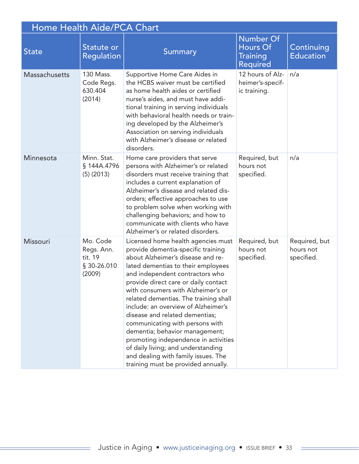| Home Health Aide/PCA Chart |                                                            |                                                                                                                                                                                                                                                                                                                                                                                                                                                                                                                                                                                                                         |                                                                    |                                          |
|----------------------------|------------------------------------------------------------|-------------------------------------------------------------------------------------------------------------------------------------------------------------------------------------------------------------------------------------------------------------------------------------------------------------------------------------------------------------------------------------------------------------------------------------------------------------------------------------------------------------------------------------------------------------------------------------------------------------------------|--------------------------------------------------------------------|------------------------------------------|
| <b>State</b>               | Statute or<br>Regulation                                   | <b>Summary</b>                                                                                                                                                                                                                                                                                                                                                                                                                                                                                                                                                                                                          | <b>Number Of</b><br>Hours Of<br><b>Training</b><br><b>Required</b> | Continuing<br><b>Education</b>           |
| Massachusetts              | 130 Mass.<br>Code Regs.<br>630.404<br>(2014)               | Supportive Home Care Aides in<br>the HCBS waiver must be certified<br>as home health aides or certified<br>nurse's aides, and must have addi-<br>tional training in serving individuals<br>with behavioral health needs or train-<br>ing developed by the Alzheimer's<br>Association on serving individuals<br>with Alzheimer's disease or related<br>disorders.                                                                                                                                                                                                                                                        | 12 hours of Alz-<br>heimer's-specif-<br>ic training.               | n/a                                      |
| Minnesota                  | Minn. Stat.<br>§ 144A.4796<br>$(5)$ (2013)                 | Home care providers that serve<br>persons with Alzheimer's or related<br>disorders must receive training that<br>includes a current explanation of<br>Alzheimer's disease and related dis-<br>orders; effective approaches to use<br>to problem solve when working with<br>challenging behaviors; and how to<br>communicate with clients who have<br>Alzheimer's or related disorders.                                                                                                                                                                                                                                  | Required, but<br>hours not<br>specified.                           | n/a                                      |
| Missouri                   | Mo. Code<br>Regs. Ann.<br>tit. 19<br>§ 30-26.010<br>(2009) | Licensed home health agencies must<br>provide dementia-specific training<br>about Alzheimer's disease and re-<br>lated dementias to their employees<br>and independent contractors who<br>provide direct care or daily contact<br>with consumers with Alzheimer's or<br>related dementias. The training shall<br>include: an overview of Alzheimer's<br>disease and related dementias;<br>communicating with persons with<br>dementia; behavior management;<br>promoting independence in activities<br>of daily living; and understanding<br>and dealing with family issues. The<br>training must be provided annually. | Required, but<br>hours not<br>specified.                           | Required, but<br>hours not<br>specified. |